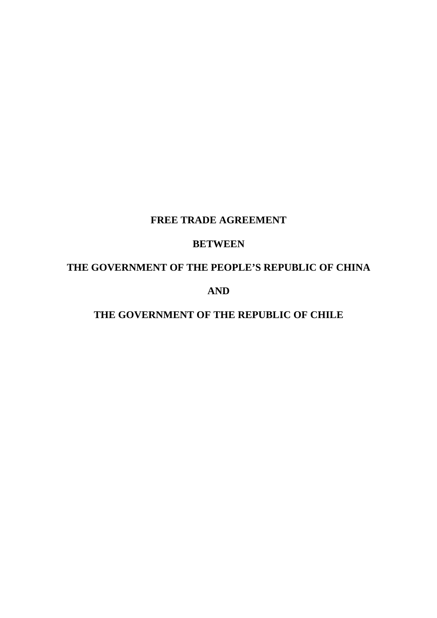# **FREE TRADE AGREEMENT**

# **BETWEEN**

# **THE GOVERNMENT OF THE PEOPLE'S REPUBLIC OF CHINA**

# **AND**

# **THE GOVERNMENT OF THE REPUBLIC OF CHILE**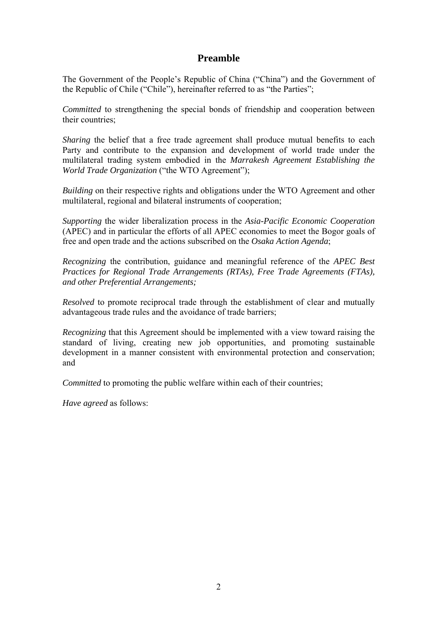# **Preamble**

The Government of the People's Republic of China ("China") and the Government of the Republic of Chile ("Chile"), hereinafter referred to as "the Parties";

*Committed* to strengthening the special bonds of friendship and cooperation between their countries;

*Sharing* the belief that a free trade agreement shall produce mutual benefits to each Party and contribute to the expansion and development of world trade under the multilateral trading system embodied in the *Marrakesh Agreement Establishing the World Trade Organization* ("the WTO Agreement");

*Building* on their respective rights and obligations under the WTO Agreement and other multilateral, regional and bilateral instruments of cooperation;

*Supporting* the wider liberalization process in the *Asia-Pacific Economic Cooperation* (APEC) and in particular the efforts of all APEC economies to meet the Bogor goals of free and open trade and the actions subscribed on the *Osaka Action Agenda*;

*Recognizing* the contribution, guidance and meaningful reference of the *APEC Best Practices for Regional Trade Arrangements (RTAs), Free Trade Agreements (FTAs), and other Preferential Arrangements;* 

*Resolved* to promote reciprocal trade through the establishment of clear and mutually advantageous trade rules and the avoidance of trade barriers;

*Recognizing* that this Agreement should be implemented with a view toward raising the standard of living, creating new job opportunities, and promoting sustainable development in a manner consistent with environmental protection and conservation; and

*Committed* to promoting the public welfare within each of their countries;

*Have agreed* as follows: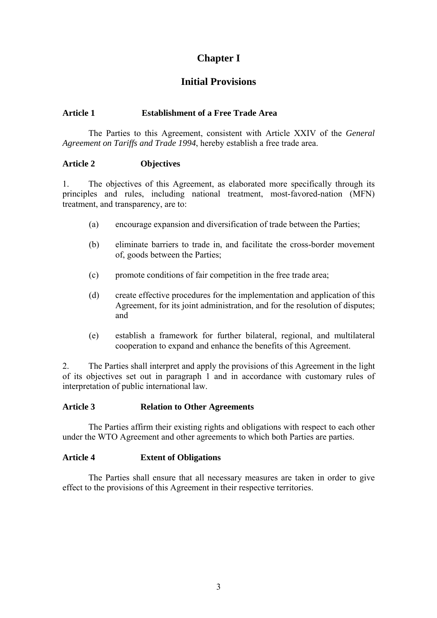# **Chapter I**

# **Initial Provisions**

### **Article 1 Establishment of a Free Trade Area**

The Parties to this Agreement, consistent with Article XXIV of the *General Agreement on Tariffs and Trade 1994*, hereby establish a free trade area.

#### **Article 2 Objectives**

1. The objectives of this Agreement, as elaborated more specifically through its principles and rules, including national treatment, most-favored-nation (MFN) treatment, and transparency, are to:

- (a) encourage expansion and diversification of trade between the Parties;
- (b) eliminate barriers to trade in, and facilitate the cross-border movement of, goods between the Parties;
- (c) promote conditions of fair competition in the free trade area;
- (d) create effective procedures for the implementation and application of this Agreement, for its joint administration, and for the resolution of disputes; and
- (e) establish a framework for further bilateral, regional, and multilateral cooperation to expand and enhance the benefits of this Agreement.

2. The Parties shall interpret and apply the provisions of this Agreement in the light of its objectives set out in paragraph 1 and in accordance with customary rules of interpretation of public international law.

### **Article 3 Relation to Other Agreements**

The Parties affirm their existing rights and obligations with respect to each other under the WTO Agreement and other agreements to which both Parties are parties.

### **Article 4 Extent of Obligations**

The Parties shall ensure that all necessary measures are taken in order to give effect to the provisions of this Agreement in their respective territories.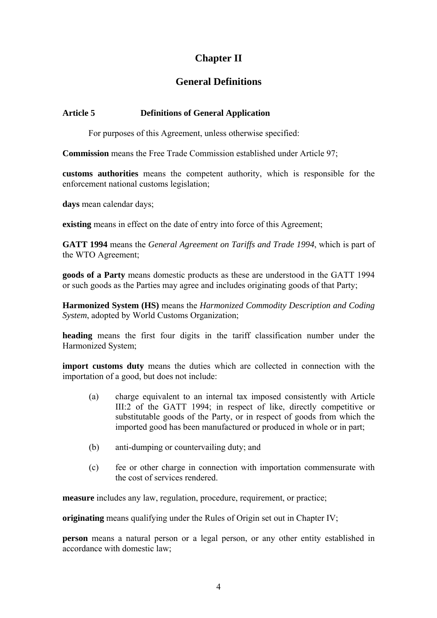# **Chapter II**

# **General Definitions**

#### **Article 5 Definitions of General Application**

For purposes of this Agreement, unless otherwise specified:

**Commission** means the Free Trade Commission established under Article 97;

**customs authorities** means the competent authority, which is responsible for the enforcement national customs legislation;

**days** mean calendar days;

**existing** means in effect on the date of entry into force of this Agreement;

**GATT 1994** means the *General Agreement on Tariffs and Trade 1994*, which is part of the WTO Agreement;

**goods of a Party** means domestic products as these are understood in the GATT 1994 or such goods as the Parties may agree and includes originating goods of that Party;

**Harmonized System (HS)** means the *Harmonized Commodity Description and Coding System*, adopted by World Customs Organization;

**heading** means the first four digits in the tariff classification number under the Harmonized System;

**import customs duty** means the duties which are collected in connection with the importation of a good, but does not include:

- (a) charge equivalent to an internal tax imposed consistently with Article III:2 of the GATT 1994; in respect of like, directly competitive or substitutable goods of the Party, or in respect of goods from which the imported good has been manufactured or produced in whole or in part;
- (b) anti-dumping or countervailing duty; and
- (c) fee or other charge in connection with importation commensurate with the cost of services rendered.

**measure** includes any law, regulation, procedure, requirement, or practice;

**originating** means qualifying under the Rules of Origin set out in Chapter IV;

**person** means a natural person or a legal person, or any other entity established in accordance with domestic law;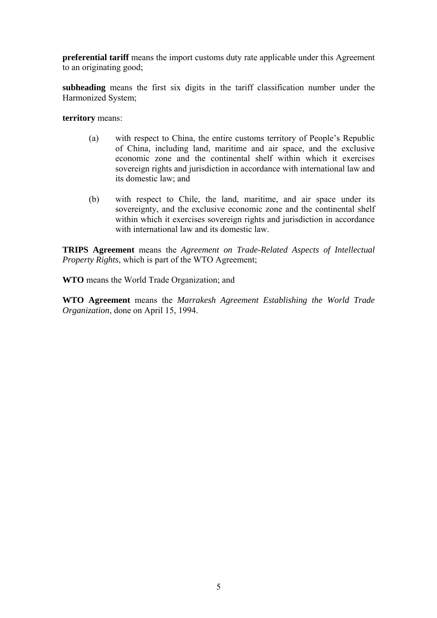**preferential tariff** means the import customs duty rate applicable under this Agreement to an originating good;

**subheading** means the first six digits in the tariff classification number under the Harmonized System;

**territory** means:

- (a) with respect to China, the entire customs territory of People's Republic of China, including land, maritime and air space, and the exclusive economic zone and the continental shelf within which it exercises sovereign rights and jurisdiction in accordance with international law and its domestic law; and
- (b) with respect to Chile, the land, maritime, and air space under its sovereignty, and the exclusive economic zone and the continental shelf within which it exercises sovereign rights and jurisdiction in accordance with international law and its domestic law.

**TRIPS Agreement** means the *Agreement on Trade-Related Aspects of Intellectual Property Rights*, which is part of the WTO Agreement;

**WTO** means the World Trade Organization; and

**WTO Agreement** means the *Marrakesh Agreement Establishing the World Trade Organization*, done on April 15, 1994.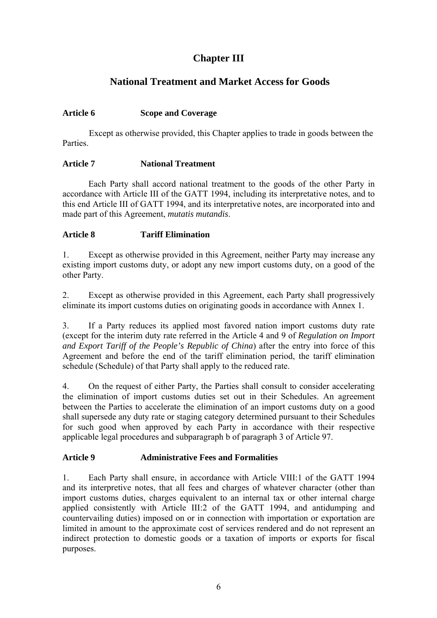# **Chapter III**

# **National Treatment and Market Access for Goods**

## **Article 6 Scope and Coverage**

Except as otherwise provided, this Chapter applies to trade in goods between the Parties.

### **Article 7 National Treatment**

Each Party shall accord national treatment to the goods of the other Party in accordance with Article III of the GATT 1994, including its interpretative notes, and to this end Article III of GATT 1994, and its interpretative notes, are incorporated into and made part of this Agreement, *mutatis mutandis*.

## **Article 8 Tariff Elimination**

1. Except as otherwise provided in this Agreement, neither Party may increase any existing import customs duty, or adopt any new import customs duty, on a good of the other Party.

2. Except as otherwise provided in this Agreement, each Party shall progressively eliminate its import customs duties on originating goods in accordance with Annex 1.

3. If a Party reduces its applied most favored nation import customs duty rate (except for the interim duty rate referred in the Article 4 and 9 of *Regulation on Import and Export Tariff of the People's Republic of China*) after the entry into force of this Agreement and before the end of the tariff elimination period, the tariff elimination schedule (Schedule) of that Party shall apply to the reduced rate.

4. On the request of either Party, the Parties shall consult to consider accelerating the elimination of import customs duties set out in their Schedules. An agreement between the Parties to accelerate the elimination of an import customs duty on a good shall supersede any duty rate or staging category determined pursuant to their Schedules for such good when approved by each Party in accordance with their respective applicable legal procedures and subparagraph b of paragraph 3 of Article 97.

## **Article 9 Administrative Fees and Formalities**

1. Each Party shall ensure, in accordance with Article VIII:1 of the GATT 1994 and its interpretive notes, that all fees and charges of whatever character (other than import customs duties, charges equivalent to an internal tax or other internal charge applied consistently with Article III:2 of the GATT 1994, and antidumping and countervailing duties) imposed on or in connection with importation or exportation are limited in amount to the approximate cost of services rendered and do not represent an indirect protection to domestic goods or a taxation of imports or exports for fiscal purposes.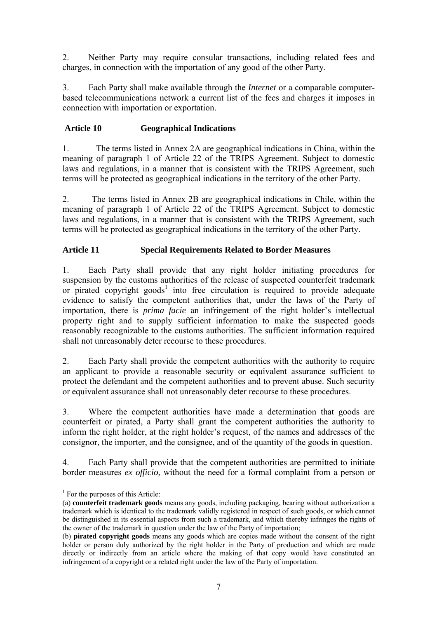2. Neither Party may require consular transactions, including related fees and charges, in connection with the importation of any good of the other Party.

3. Each Party shall make available through the *Internet* or a comparable computerbased telecommunications network a current list of the fees and charges it imposes in connection with importation or exportation.

## **Article 10 Geographical Indications**

1. The terms listed in Annex 2A are geographical indications in China, within the meaning of paragraph 1 of Article 22 of the TRIPS Agreement. Subject to domestic laws and regulations, in a manner that is consistent with the TRIPS Agreement, such terms will be protected as geographical indications in the territory of the other Party.

2. The terms listed in Annex 2B are geographical indications in Chile, within the meaning of paragraph 1 of Article 22 of the TRIPS Agreement. Subject to domestic laws and regulations, in a manner that is consistent with the TRIPS Agreement, such terms will be protected as geographical indications in the territory of the other Party.

## **Article 11 Special Requirements Related to Border Measures**

1. Each Party shall provide that any right holder initiating procedures for suspension by the customs authorities of the release of suspected counterfeit trademark or pirated copyright goods<sup>1</sup> into free circulation is required to provide adequate evidence to satisfy the competent authorities that, under the laws of the Party of importation, there is *prima facie* an infringement of the right holder's intellectual property right and to supply sufficient information to make the suspected goods reasonably recognizable to the customs authorities. The sufficient information required shall not unreasonably deter recourse to these procedures.

2. Each Party shall provide the competent authorities with the authority to require an applicant to provide a reasonable security or equivalent assurance sufficient to protect the defendant and the competent authorities and to prevent abuse. Such security or equivalent assurance shall not unreasonably deter recourse to these procedures.

3. Where the competent authorities have made a determination that goods are counterfeit or pirated, a Party shall grant the competent authorities the authority to inform the right holder, at the right holder's request, of the names and addresses of the consignor, the importer, and the consignee, and of the quantity of the goods in question.

4. Each Party shall provide that the competent authorities are permitted to initiate border measures *ex officio*, without the need for a formal complaint from a person or

 $\overline{a}$ 

<span id="page-6-0"></span><sup>&</sup>lt;sup>1</sup> For the purposes of this Article:

<sup>(</sup>a) **counterfeit trademark goods** means any goods, including packaging, bearing without authorization a trademark which is identical to the trademark validly registered in respect of such goods, or which cannot be distinguished in its essential aspects from such a trademark, and which thereby infringes the rights of the owner of the trademark in question under the law of the Party of importation;

<sup>(</sup>b) **pirated copyright goods** means any goods which are copies made without the consent of the right holder or person duly authorized by the right holder in the Party of production and which are made directly or indirectly from an article where the making of that copy would have constituted an infringement of a copyright or a related right under the law of the Party of importation.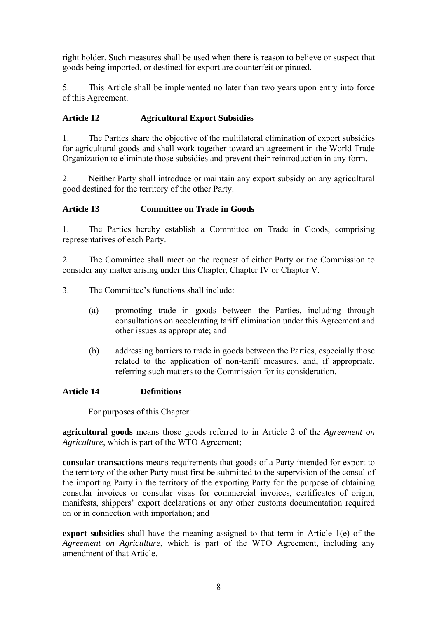right holder. Such measures shall be used when there is reason to believe or suspect that goods being imported, or destined for export are counterfeit or pirated.

5. This Article shall be implemented no later than two years upon entry into force of this Agreement.

## **Article 12 Agricultural Export Subsidies**

1. The Parties share the objective of the multilateral elimination of export subsidies for agricultural goods and shall work together toward an agreement in the World Trade Organization to eliminate those subsidies and prevent their reintroduction in any form.

2. Neither Party shall introduce or maintain any export subsidy on any agricultural good destined for the territory of the other Party.

## **Article 13 Committee on Trade in Goods**

1. The Parties hereby establish a Committee on Trade in Goods, comprising representatives of each Party.

2. The Committee shall meet on the request of either Party or the Commission to consider any matter arising under this Chapter, Chapter IV or Chapter V.

3. The Committee's functions shall include:

- (a) promoting trade in goods between the Parties, including through consultations on accelerating tariff elimination under this Agreement and other issues as appropriate; and
- (b) addressing barriers to trade in goods between the Parties, especially those related to the application of non-tariff measures, and, if appropriate, referring such matters to the Commission for its consideration.

### **Article 14 Definitions**

For purposes of this Chapter:

**agricultural goods** means those goods referred to in Article 2 of the *Agreement on Agriculture*, which is part of the WTO Agreement;

**consular transactions** means requirements that goods of a Party intended for export to the territory of the other Party must first be submitted to the supervision of the consul of the importing Party in the territory of the exporting Party for the purpose of obtaining consular invoices or consular visas for commercial invoices, certificates of origin, manifests, shippers' export declarations or any other customs documentation required on or in connection with importation; and

**export subsidies** shall have the meaning assigned to that term in Article 1(e) of the *Agreement on Agriculture*, which is part of the WTO Agreement, including any amendment of that Article.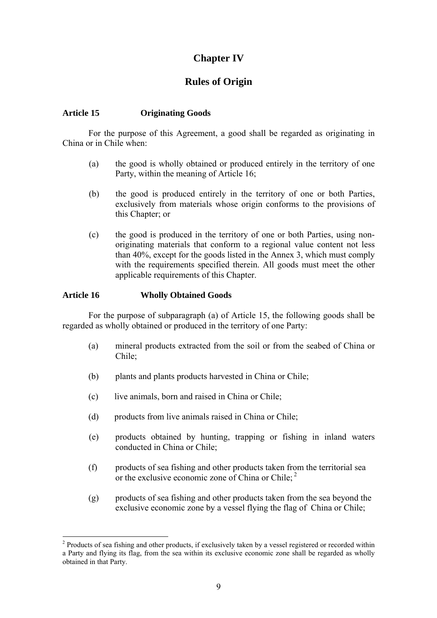# **Chapter IV**

# **Rules of Origin**

#### **Article 15 Originating Goods**

For the purpose of this Agreement, a good shall be regarded as originating in China or in Chile when:

- (a) the good is wholly obtained or produced entirely in the territory of one Party, within the meaning of Article 16;
- (b) the good is produced entirely in the territory of one or both Parties, exclusively from materials whose origin conforms to the provisions of this Chapter; or
- (c) the good is produced in the territory of one or both Parties, using nonoriginating materials that conform to a regional value content not less than 40%, except for the goods listed in the Annex 3, which must comply with the requirements specified therein. All goods must meet the other applicable requirements of this Chapter.

#### **Article 16 Wholly Obtained Goods**

 $\overline{a}$ 

For the purpose of subparagraph (a) of Article 15, the following goods shall be regarded as wholly obtained or produced in the territory of one Party:

- (a) mineral products extracted from the soil or from the seabed of China or Chile;
- (b) plants and plants products harvested in China or Chile;
- (c) live animals, born and raised in China or Chile;
- (d) products from live animals raised in China or Chile;
- (e) products obtained by hunting, trapping or fishing in inland waters conducted in China or Chile;
- (f) products of sea fishing and other products taken from the territorial sea or the exclusive economic zone of China or Chile;  $<sup>2</sup>$ </sup>
- (g) products of sea fishing and other products taken from the sea beyond the exclusive economic zone by a vessel flying the flag of China or Chile;

<span id="page-8-0"></span><sup>&</sup>lt;sup>2</sup> Products of sea fishing and other products, if exclusively taken by a vessel registered or recorded within a Party and flying its flag, from the sea within its exclusive economic zone shall be regarded as wholly obtained in that Party.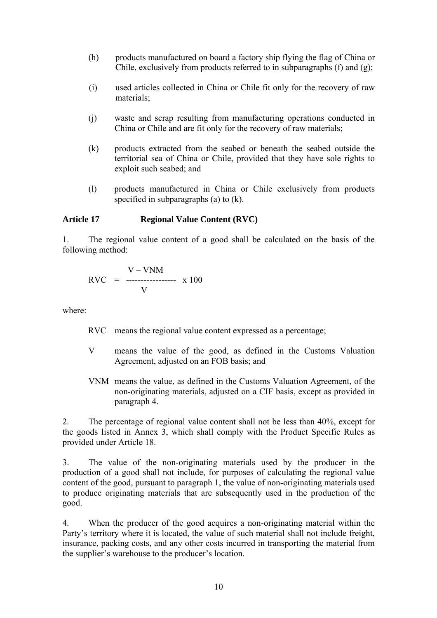- (h) products manufactured on board a factory ship flying the flag of China or Chile, exclusively from products referred to in subparagraphs (f) and (g);
- (i) used articles collected in China or Chile fit only for the recovery of raw materials;
- (j) waste and scrap resulting from manufacturing operations conducted in China or Chile and are fit only for the recovery of raw materials;
- (k) products extracted from the seabed or beneath the seabed outside the territorial sea of China or Chile, provided that they have sole rights to exploit such seabed; and
- (l) products manufactured in China or Chile exclusively from products specified in subparagraphs (a) to (k).

#### **Article 17 Regional Value Content (RVC)**

1. The regional value content of a good shall be calculated on the basis of the following method:

$$
RVC = \frac{V - VNM}{V} \times 100
$$

where:

- RVC means the regional value content expressed as a percentage;
- V means the value of the good, as defined in the Customs Valuation Agreement, adjusted on an FOB basis; and
- VNM means the value, as defined in the Customs Valuation Agreement, of the non-originating materials, adjusted on a CIF basis, except as provided in paragraph 4.

2. The percentage of regional value content shall not be less than 40%, except for the goods listed in Annex 3, which shall comply with the Product Specific Rules as provided under Article 18.

3. The value of the non-originating materials used by the producer in the production of a good shall not include, for purposes of calculating the regional value content of the good, pursuant to paragraph 1, the value of non-originating materials used to produce originating materials that are subsequently used in the production of the good.

4. When the producer of the good acquires a non-originating material within the Party's territory where it is located, the value of such material shall not include freight, insurance, packing costs, and any other costs incurred in transporting the material from the supplier's warehouse to the producer's location.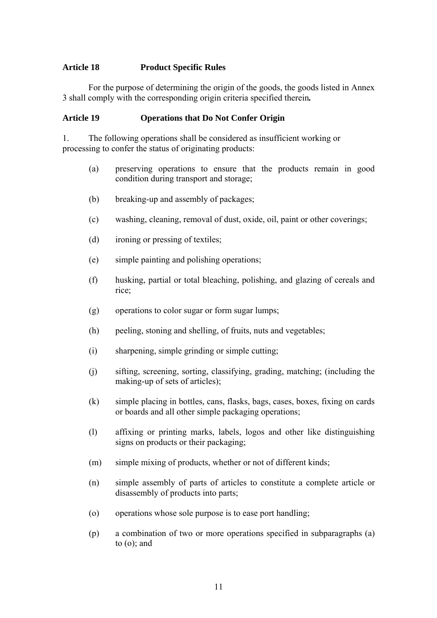#### **Article 18 Product Specific Rules**

For the purpose of determining the origin of the goods, the goods listed in Annex 3 shall comply with the corresponding origin criteria specified therein*.*

#### **Article 19 Operations that Do Not Confer Origin**

1. The following operations shall be considered as insufficient working or processing to confer the status of originating products:

- (a) preserving operations to ensure that the products remain in good condition during transport and storage;
- (b) breaking-up and assembly of packages;
- (c) washing, cleaning, removal of dust, oxide, oil, paint or other coverings;
- (d) ironing or pressing of textiles;
- (e) simple painting and polishing operations;
- (f) husking, partial or total bleaching, polishing, and glazing of cereals and rice;
- (g) operations to color sugar or form sugar lumps;
- (h) peeling, stoning and shelling, of fruits, nuts and vegetables;
- (i) sharpening, simple grinding or simple cutting;
- (j) sifting, screening, sorting, classifying, grading, matching; (including the making-up of sets of articles);
- (k) simple placing in bottles, cans, flasks, bags, cases, boxes, fixing on cards or boards and all other simple packaging operations;
- (l) affixing or printing marks, labels, logos and other like distinguishing signs on products or their packaging;
- (m) simple mixing of products, whether or not of different kinds;
- (n) simple assembly of parts of articles to constitute a complete article or disassembly of products into parts;
- (o) operations whose sole purpose is to ease port handling;
- (p) a combination of two or more operations specified in subparagraphs (a) to (o); and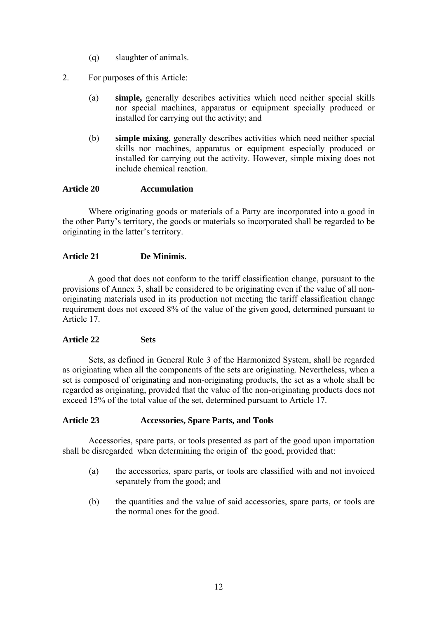- (q) slaughter of animals.
- 2. For purposes of this Article:
	- (a) **simple,** generally describes activities which need neither special skills nor special machines, apparatus or equipment specially produced or installed for carrying out the activity; and
	- (b) **simple mixing**, generally describes activities which need neither special skills nor machines, apparatus or equipment especially produced or installed for carrying out the activity. However, simple mixing does not include chemical reaction.

#### **Article 20 Accumulation**

Where originating goods or materials of a Party are incorporated into a good in the other Party's territory, the goods or materials so incorporated shall be regarded to be originating in the latter's territory.

#### **Article 21 De Minimis.**

A good that does not conform to the tariff classification change, pursuant to the provisions of Annex 3, shall be considered to be originating even if the value of all nonoriginating materials used in its production not meeting the tariff classification change requirement does not exceed 8% of the value of the given good, determined pursuant to Article 17.

#### **Article 22 Sets**

Sets, as defined in General Rule 3 of the Harmonized System, shall be regarded as originating when all the components of the sets are originating. Nevertheless, when a set is composed of originating and non-originating products, the set as a whole shall be regarded as originating, provided that the value of the non-originating products does not exceed 15% of the total value of the set, determined pursuant to Article 17.

#### **Article 23 Accessories, Spare Parts, and Tools**

Accessories, spare parts, or tools presented as part of the good upon importation shall be disregarded when determining the origin of the good, provided that:

- (a) the accessories, spare parts, or tools are classified with and not invoiced separately from the good; and
- (b) the quantities and the value of said accessories, spare parts, or tools are the normal ones for the good.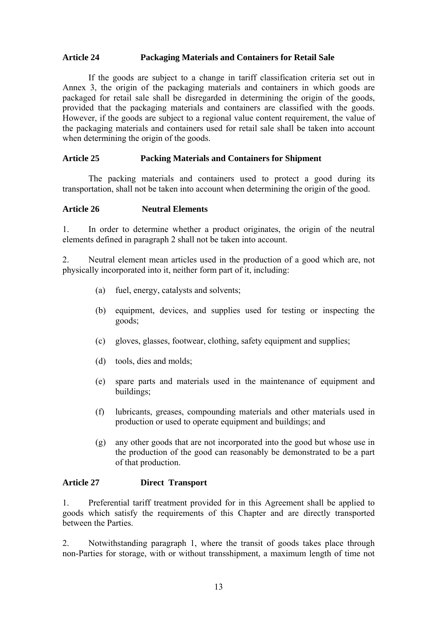#### **Article 24 Packaging Materials and Containers for Retail Sale**

If the goods are subject to a change in tariff classification criteria set out in Annex 3, the origin of the packaging materials and containers in which goods are packaged for retail sale shall be disregarded in determining the origin of the goods, provided that the packaging materials and containers are classified with the goods. However, if the goods are subject to a regional value content requirement, the value of the packaging materials and containers used for retail sale shall be taken into account when determining the origin of the goods.

#### **Article 25 Packing Materials and Containers for Shipment**

The packing materials and containers used to protect a good during its transportation, shall not be taken into account when determining the origin of the good.

#### **Article 26 Neutral Elements**

1. In order to determine whether a product originates, the origin of the neutral elements defined in paragraph 2 shall not be taken into account.

2. Neutral element mean articles used in the production of a good which are, not physically incorporated into it, neither form part of it, including:

- (a) fuel, energy, catalysts and solvents;
- (b) equipment, devices, and supplies used for testing or inspecting the goods;
- (c) gloves, glasses, footwear, clothing, safety equipment and supplies;
- (d) tools, dies and molds;
- (e) spare parts and materials used in the maintenance of equipment and buildings;
- (f) lubricants, greases, compounding materials and other materials used in production or used to operate equipment and buildings; and
- (g) any other goods that are not incorporated into the good but whose use in the production of the good can reasonably be demonstrated to be a part of that production.

#### **Article 27 Direct Transport**

1. Preferential tariff treatment provided for in this Agreement shall be applied to goods which satisfy the requirements of this Chapter and are directly transported between the Parties.

2.Notwithstanding paragraph 1, where the transit of goods takes place through non-Parties for storage, with or without transshipment, a maximum length of time not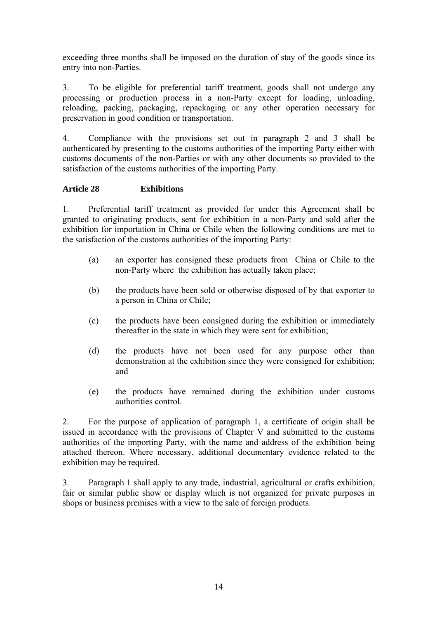exceeding three months shall be imposed on the duration of stay of the goods since its entry into non-Parties.

3. To be eligible for preferential tariff treatment, goods shall not undergo any processing or production process in a non-Party except for loading, unloading, reloading, packing, packaging, repackaging or any other operation necessary for preservation in good condition or transportation.

4. Compliance with the provisions set out in paragraph 2 and 3 shall be authenticated by presenting to the customs authorities of the importing Party either with customs documents of the non-Parties or with any other documents so provided to the satisfaction of the customs authorities of the importing Party.

### **Article 28 Exhibitions**

1. Preferential tariff treatment as provided for under this Agreement shall be granted to originating products, sent for exhibition in a non-Party and sold after the exhibition for importation in China or Chile when the following conditions are met to the satisfaction of the customs authorities of the importing Party:

- (a) an exporter has consigned these products from China or Chile to the non-Party where the exhibition has actually taken place;
- (b) the products have been sold or otherwise disposed of by that exporter to a person in China or Chile;
- (c) the products have been consigned during the exhibition or immediately thereafter in the state in which they were sent for exhibition;
- (d) the products have not been used for any purpose other than demonstration at the exhibition since they were consigned for exhibition; and
- (e) the products have remained during the exhibition under customs authorities control.

2. For the purpose of application of paragraph 1, a certificate of origin shall be issued in accordance with the provisions of Chapter V and submitted to the customs authorities of the importing Party, with the name and address of the exhibition being attached thereon. Where necessary, additional documentary evidence related to the exhibition may be required.

3. Paragraph 1 shall apply to any trade, industrial, agricultural or crafts exhibition, fair or similar public show or display which is not organized for private purposes in shops or business premises with a view to the sale of foreign products.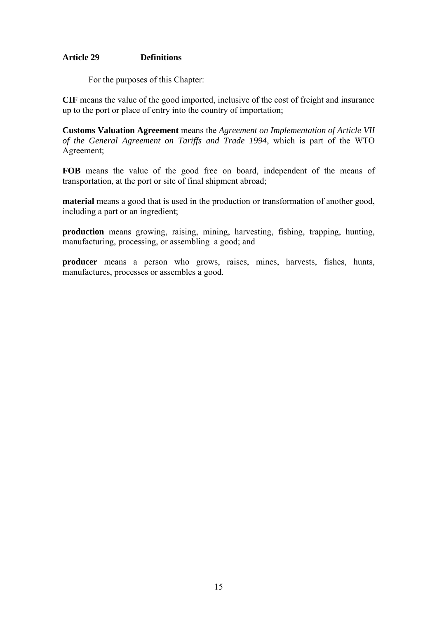#### **Article 29 Definitions**

For the purposes of this Chapter:

**CIF** means the value of the good imported, inclusive of the cost of freight and insurance up to the port or place of entry into the country of importation;

**Customs Valuation Agreement** means the *Agreement on Implementation of Article VII of the General Agreement on Tariffs and Trade 1994*, which is part of the WTO Agreement;

**FOB** means the value of the good free on board, independent of the means of transportation, at the port or site of final shipment abroad;

**material** means a good that is used in the production or transformation of another good, including a part or an ingredient;

**production** means growing, raising, mining, harvesting, fishing, trapping, hunting, manufacturing, processing, or assembling a good; and

**producer** means a person who grows, raises, mines, harvests, fishes, hunts, manufactures, processes or assembles a good.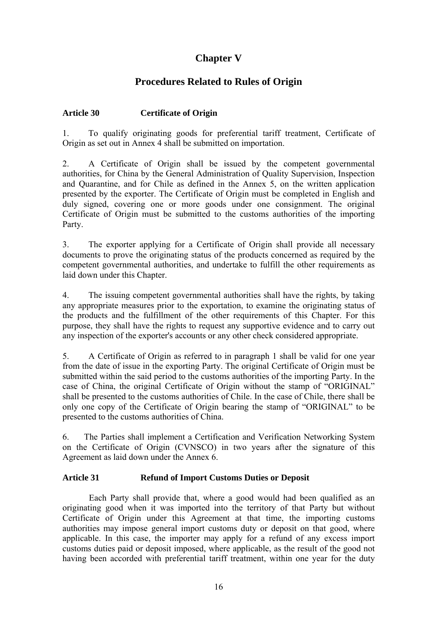# **Chapter V**

# **Procedures Related to Rules of Origin**

## **Article 30 Certificate of Origin**

1. To qualify originating goods for preferential tariff treatment, Certificate of Origin as set out in Annex 4 shall be submitted on importation.

2. A Certificate of Origin shall be issued by the competent governmental authorities, for China by the General Administration of Quality Supervision, Inspection and Quarantine, and for Chile as defined in the Annex 5, on the written application presented by the exporter. The Certificate of Origin must be completed in English and duly signed, covering one or more goods under one consignment. The original Certificate of Origin must be submitted to the customs authorities of the importing Party.

3. The exporter applying for a Certificate of Origin shall provide all necessary documents to prove the originating status of the products concerned as required by the competent governmental authorities, and undertake to fulfill the other requirements as laid down under this Chapter.

4. The issuing competent governmental authorities shall have the rights, by taking any appropriate measures prior to the exportation, to examine the originating status of the products and the fulfillment of the other requirements of this Chapter. For this purpose, they shall have the rights to request any supportive evidence and to carry out any inspection of the exporter's accounts or any other check considered appropriate.

5. A Certificate of Origin as referred to in paragraph 1 shall be valid for one year from the date of issue in the exporting Party. The original Certificate of Origin must be submitted within the said period to the customs authorities of the importing Party. In the case of China, the original Certificate of Origin without the stamp of "ORIGINAL" shall be presented to the customs authorities of Chile. In the case of Chile, there shall be only one copy of the Certificate of Origin bearing the stamp of "ORIGINAL" to be presented to the customs authorities of China.

6. The Parties shall implement a Certification and Verification Networking System on the Certificate of Origin (CVNSCO) in two years after the signature of this Agreement as laid down under the Annex 6.

## **Article 31 Refund of Import Customs Duties or Deposit**

Each Party shall provide that, where a good would had been qualified as an originating good when it was imported into the territory of that Party but without Certificate of Origin under this Agreement at that time, the importing customs authorities may impose general import customs duty or deposit on that good, where applicable. In this case, the importer may apply for a refund of any excess import customs duties paid or deposit imposed, where applicable, as the result of the good not having been accorded with preferential tariff treatment, within one year for the duty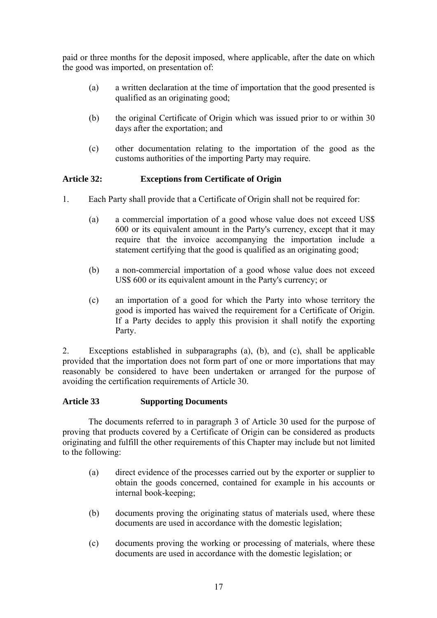paid or three months for the deposit imposed, where applicable, after the date on which the good was imported, on presentation of:

- (a) a written declaration at the time of importation that the good presented is qualified as an originating good;
- (b) the original Certificate of Origin which was issued prior to or within 30 days after the exportation; and
- (c) other documentation relating to the importation of the good as the customs authorities of the importing Party may require.

## **Article 32: Exceptions from Certificate of Origin**

- 1. Each Party shall provide that a Certificate of Origin shall not be required for:
	- (a) a commercial importation of a good whose value does not exceed US\$ 600 or its equivalent amount in the Party's currency, except that it may require that the invoice accompanying the importation include a statement certifying that the good is qualified as an originating good;
	- (b) a non-commercial importation of a good whose value does not exceed US\$ 600 or its equivalent amount in the Party's currency; or
	- (c) an importation of a good for which the Party into whose territory the good is imported has waived the requirement for a Certificate of Origin. If a Party decides to apply this provision it shall notify the exporting Party.

2. Exceptions established in subparagraphs (a), (b), and (c), shall be applicable provided that the importation does not form part of one or more importations that may reasonably be considered to have been undertaken or arranged for the purpose of avoiding the certification requirements of Article 30.

### **Article 33 Supporting Documents**

The documents referred to in paragraph 3 of Article 30 used for the purpose of proving that products covered by a Certificate of Origin can be considered as products originating and fulfill the other requirements of this Chapter may include but not limited to the following:

- (a) direct evidence of the processes carried out by the exporter or supplier to obtain the goods concerned, contained for example in his accounts or internal book-keeping;
- (b) documents proving the originating status of materials used, where these documents are used in accordance with the domestic legislation;
- (c) documents proving the working or processing of materials, where these documents are used in accordance with the domestic legislation; or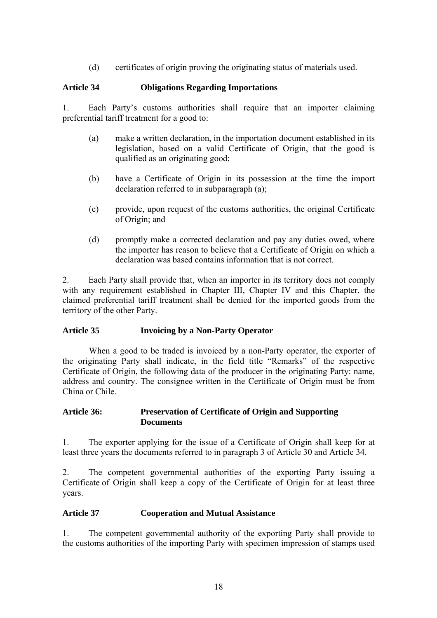(d) certificates of origin proving the originating status of materials used.

### **Article 34 Obligations Regarding Importations**

1. Each Party's customs authorities shall require that an importer claiming preferential tariff treatment for a good to:

- (a) make a written declaration, in the importation document established in its legislation, based on a valid Certificate of Origin, that the good is qualified as an originating good;
- (b) have a Certificate of Origin in its possession at the time the import declaration referred to in subparagraph (a);
- (c) provide, upon request of the customs authorities, the original Certificate of Origin; and
- (d) promptly make a corrected declaration and pay any duties owed, where the importer has reason to believe that a Certificate of Origin on which a declaration was based contains information that is not correct.

2. Each Party shall provide that, when an importer in its territory does not comply with any requirement established in Chapter III, Chapter IV and this Chapter, the claimed preferential tariff treatment shall be denied for the imported goods from the territory of the other Party.

### **Article 35 Invoicing by a Non-Party Operator**

When a good to be traded is invoiced by a non-Party operator, the exporter of the originating Party shall indicate, in the field title "Remarks" of the respective Certificate of Origin, the following data of the producer in the originating Party: name, address and country. The consignee written in the Certificate of Origin must be from China or Chile.

#### **Article 36: Preservation of Certificate of Origin and Supporting Documents**

1. The exporter applying for the issue of a Certificate of Origin shall keep for at least three years the documents referred to in paragraph 3 of Article 30 and Article 34.

2. The competent governmental authorities of the exporting Party issuing a Certificate of Origin shall keep a copy of the Certificate of Origin for at least three years.

### **Article 37 Cooperation and Mutual Assistance**

1. The competent governmental authority of the exporting Party shall provide to the customs authorities of the importing Party with specimen impression of stamps used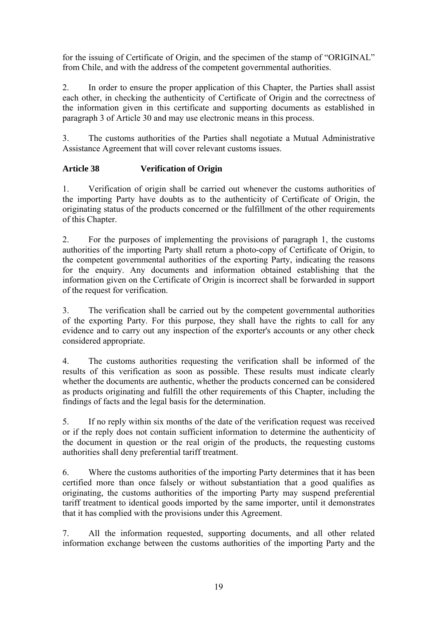for the issuing of Certificate of Origin, and the specimen of the stamp of "ORIGINAL" from Chile, and with the address of the competent governmental authorities.

2. In order to ensure the proper application of this Chapter, the Parties shall assist each other, in checking the authenticity of Certificate of Origin and the correctness of the information given in this certificate and supporting documents as established in paragraph 3 of Article 30 and may use electronic means in this process.

3. The customs authorities of the Parties shall negotiate a Mutual Administrative Assistance Agreement that will cover relevant customs issues.

## **Article 38 Verification of Origin**

1. Verification of origin shall be carried out whenever the customs authorities of the importing Party have doubts as to the authenticity of Certificate of Origin, the originating status of the products concerned or the fulfillment of the other requirements of this Chapter.

2. For the purposes of implementing the provisions of paragraph 1, the customs authorities of the importing Party shall return a photo-copy of Certificate of Origin, to the competent governmental authorities of the exporting Party, indicating the reasons for the enquiry. Any documents and information obtained establishing that the information given on the Certificate of Origin is incorrect shall be forwarded in support of the request for verification.

3. The verification shall be carried out by the competent governmental authorities of the exporting Party. For this purpose, they shall have the rights to call for any evidence and to carry out any inspection of the exporter's accounts or any other check considered appropriate.

4. The customs authorities requesting the verification shall be informed of the results of this verification as soon as possible. These results must indicate clearly whether the documents are authentic, whether the products concerned can be considered as products originating and fulfill the other requirements of this Chapter, including the findings of facts and the legal basis for the determination.

5. If no reply within six months of the date of the verification request was received or if the reply does not contain sufficient information to determine the authenticity of the document in question or the real origin of the products, the requesting customs authorities shall deny preferential tariff treatment.

6. Where the customs authorities of the importing Party determines that it has been certified more than once falsely or without substantiation that a good qualifies as originating, the customs authorities of the importing Party may suspend preferential tariff treatment to identical goods imported by the same importer, until it demonstrates that it has complied with the provisions under this Agreement.

7. All the information requested, supporting documents, and all other related information exchange between the customs authorities of the importing Party and the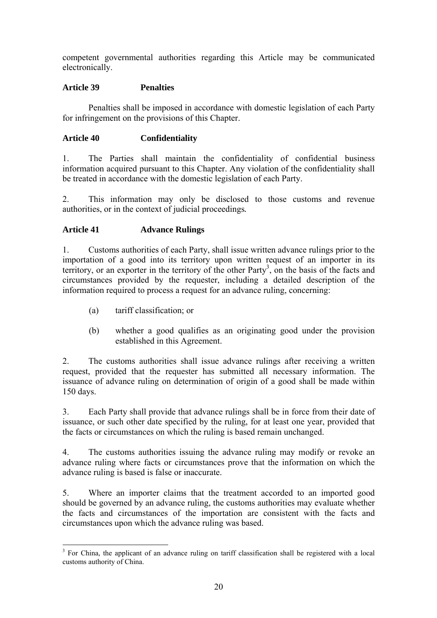competent governmental authorities regarding this Article may be communicated electronically.

## **Article 39 Penalties**

Penalties shall be imposed in accordance with domestic legislation of each Party for infringement on the provisions of this Chapter.

## **Article 40 Confidentiality**

1. The Parties shall maintain the confidentiality of confidential business information acquired pursuant to this Chapter. Any violation of the confidentiality shall be treated in accordance with the domestic legislation of each Party.

2. This information may only be disclosed to those customs and revenue authorities, or in the context of judicial proceedings*.* 

## **Article 41 Advance Rulings**

1. Customs authorities of each Party, shall issue written advance rulings prior to the importation of a good into its territory upon written request of an importer in its territory, or an exporter in the territory of the other Party<sup>[3](#page-19-0)</sup>, on the basis of the facts and circumstances provided by the requester, including a detailed description of the information required to process a request for an advance ruling, concerning:

- (a) tariff classification; or
- (b) whether a good qualifies as an originating good under the provision established in this Agreement.

2. The customs authorities shall issue advance rulings after receiving a written request, provided that the requester has submitted all necessary information. The issuance of advance ruling on determination of origin of a good shall be made within 150 days.

3. Each Party shall provide that advance rulings shall be in force from their date of issuance, or such other date specified by the ruling, for at least one year, provided that the facts or circumstances on which the ruling is based remain unchanged.

4. The customs authorities issuing the advance ruling may modify or revoke an advance ruling where facts or circumstances prove that the information on which the advance ruling is based is false or inaccurate.

5. Where an importer claims that the treatment accorded to an imported good should be governed by an advance ruling, the customs authorities may evaluate whether the facts and circumstances of the importation are consistent with the facts and circumstances upon which the advance ruling was based.

<span id="page-19-0"></span> $\overline{a}$ <sup>3</sup> For China, the applicant of an advance ruling on tariff classification shall be registered with a local customs authority of China.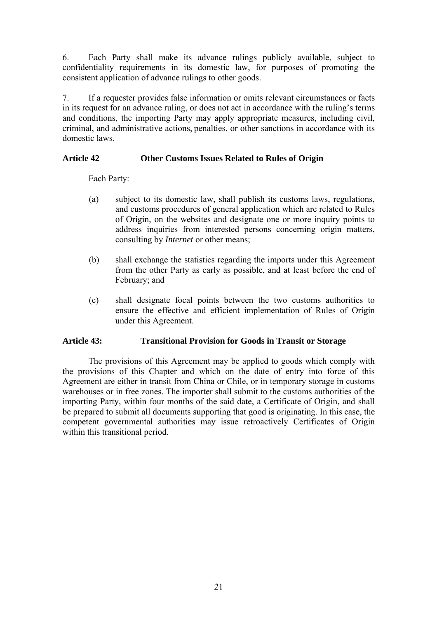6. Each Party shall make its advance rulings publicly available, subject to confidentiality requirements in its domestic law, for purposes of promoting the consistent application of advance rulings to other goods.

7. If a requester provides false information or omits relevant circumstances or facts in its request for an advance ruling, or does not act in accordance with the ruling's terms and conditions, the importing Party may apply appropriate measures, including civil, criminal, and administrative actions, penalties, or other sanctions in accordance with its domestic laws.

### **Article 42 Other Customs Issues Related to Rules of Origin**

Each Party:

- (a) subject to its domestic law, shall publish its customs laws, regulations, and customs procedures of general application which are related to Rules of Origin, on the websites and designate one or more inquiry points to address inquiries from interested persons concerning origin matters, consulting by *Internet* or other means;
- (b) shall exchange the statistics regarding the imports under this Agreement from the other Party as early as possible, and at least before the end of February; and
- (c) shall designate focal points between the two customs authorities to ensure the effective and efficient implementation of Rules of Origin under this Agreement.

#### **Article 43: Transitional Provision for Goods in Transit or Storage**

The provisions of this Agreement may be applied to goods which comply with the provisions of this Chapter and which on the date of entry into force of this Agreement are either in transit from China or Chile, or in temporary storage in customs warehouses or in free zones. The importer shall submit to the customs authorities of the importing Party, within four months of the said date, a Certificate of Origin, and shall be prepared to submit all documents supporting that good is originating. In this case, the competent governmental authorities may issue retroactively Certificates of Origin within this transitional period.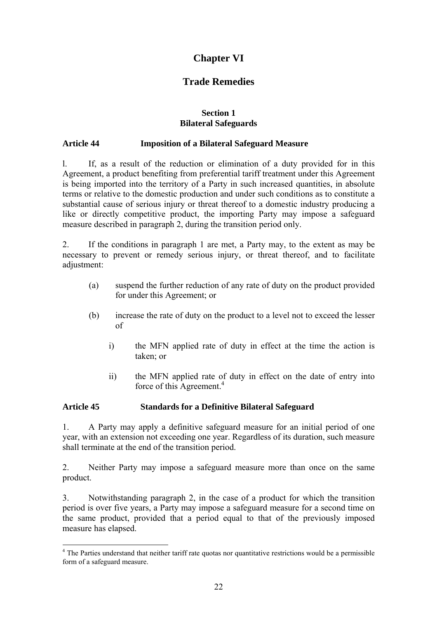# **Chapter VI**

# **Trade Remedies**

#### **Section 1 Bilateral Safeguards**

### **Article 44 Imposition of a Bilateral Safeguard Measure**

l. If, as a result of the reduction or elimination of a duty provided for in this Agreement, a product benefiting from preferential tariff treatment under this Agreement is being imported into the territory of a Party in such increased quantities, in absolute terms or relative to the domestic production and under such conditions as to constitute a substantial cause of serious injury or threat thereof to a domestic industry producing a like or directly competitive product, the importing Party may impose a safeguard measure described in paragraph 2, during the transition period only.

2. If the conditions in paragraph 1 are met, a Party may, to the extent as may be necessary to prevent or remedy serious injury, or threat thereof, and to facilitate adjustment:

- (a) suspend the further reduction of any rate of duty on the product provided for under this Agreement; or
- (b) increase the rate of duty on the product to a level not to exceed the lesser of
	- i) the MFN applied rate of duty in effect at the time the action is taken; or
	- ii) the MFN applied rate of duty in effect on the date of entry into force of this Agreement.<sup>4</sup>

### **Article 45 Standards for a Definitive Bilateral Safeguard**

 $\overline{a}$ 

1. A Party may apply a definitive safeguard measure for an initial period of one year, with an extension not exceeding one year. Regardless of its duration, such measure shall terminate at the end of the transition period.

2. Neither Party may impose a safeguard measure more than once on the same product.

3. Notwithstanding paragraph 2, in the case of a product for which the transition period is over five years, a Party may impose a safeguard measure for a second time on the same product, provided that a period equal to that of the previously imposed measure has elapsed.

<span id="page-21-0"></span><sup>&</sup>lt;sup>4</sup> The Parties understand that neither tariff rate quotas nor quantitative restrictions would be a permissible form of a safeguard measure.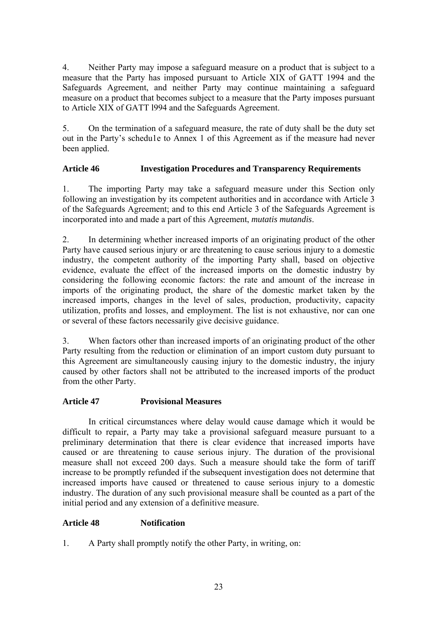4. Neither Party may impose a safeguard measure on a product that is subject to a measure that the Party has imposed pursuant to Article XIX of GATT 1994 and the Safeguards Agreement, and neither Party may continue maintaining a safeguard measure on a product that becomes subject to a measure that the Party imposes pursuant to Article XIX of GATT l994 and the Safeguards Agreement.

5. On the termination of a safeguard measure, the rate of duty shall be the duty set out in the Party's schedu1e to Annex 1 of this Agreement as if the measure had never been applied.

## **Article 46 Investigation Procedures and Transparency Requirements**

1. The importing Party may take a safeguard measure under this Section only following an investigation by its competent authorities and in accordance with Article 3 of the Safeguards Agreement; and to this end Article 3 of the Safeguards Agreement is incorporated into and made a part of this Agreement, *mutatis mutandis*.

2. In determining whether increased imports of an originating product of the other Party have caused serious injury or are threatening to cause serious injury to a domestic industry, the competent authority of the importing Party shall, based on objective evidence, evaluate the effect of the increased imports on the domestic industry by considering the following economic factors: the rate and amount of the increase in imports of the originating product, the share of the domestic market taken by the increased imports, changes in the level of sales, production, productivity, capacity utilization, profits and losses, and employment. The list is not exhaustive, nor can one or several of these factors necessarily give decisive guidance.

3. When factors other than increased imports of an originating product of the other Party resulting from the reduction or elimination of an import custom duty pursuant to this Agreement are simultaneously causing injury to the domestic industry, the injury caused by other factors shall not be attributed to the increased imports of the product from the other Party.

### **Article 47 Provisional Measures**

In critical circumstances where delay would cause damage which it would be difficult to repair, a Party may take a provisional safeguard measure pursuant to a preliminary determination that there is clear evidence that increased imports have caused or are threatening to cause serious injury. The duration of the provisional measure shall not exceed 200 days. Such a measure should take the form of tariff increase to be promptly refunded if the subsequent investigation does not determine that increased imports have caused or threatened to cause serious injury to a domestic industry. The duration of any such provisional measure shall be counted as a part of the initial period and any extension of a definitive measure.

## **Article 48 Notification**

1. A Party shall promptly notify the other Party, in writing, on: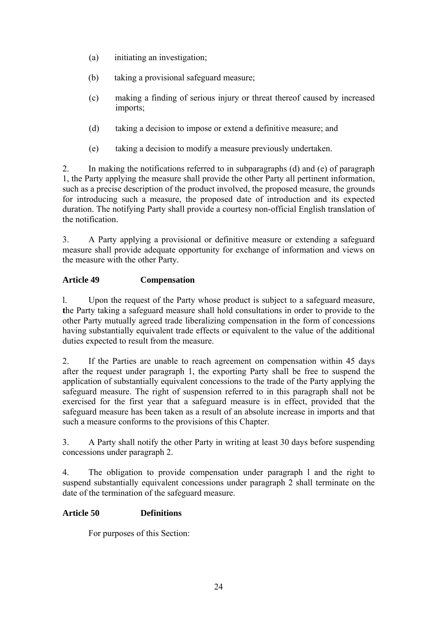- (a) initiating an investigation;
- (b) taking a provisional safeguard measure;
- (c) making a finding of serious injury or threat thereof caused by increased imports;
- (d) taking a decision to impose or extend a definitive measure; and
- (e) taking a decision to modify a measure previously undertaken.

2. In making the notifications referred to in subparagraphs (d) and (e) of paragraph 1, the Party applying the measure shall provide the other Party all pertinent information, such as a precise description of the product involved, the proposed measure, the grounds for introducing such a measure, the proposed date of introduction and its expected duration. The notifying Party shall provide a courtesy non-official English translation of the notification.

3. A Party applying a provisional or definitive measure or extending a safeguard measure shall provide adequate opportunity for exchange of information and views on the measure with the other Party.

## **Article 49 Compensation**

l. Upon the request of the Party whose product is subject to a safeguard measure, **t**he Party taking a safeguard measure shall hold consultations in order to provide to the other Party mutually agreed trade liberalizing compensation in the form of concessions having substantially equivalent trade effects or equivalent to the value of the additional duties expected to result from the measure.

2. If the Parties are unable to reach agreement on compensation within 45 days after the request under paragraph 1, the exporting Party shall be free to suspend the application of substantially equivalent concessions to the trade of the Party applying the safeguard measure. The right of suspension referred to in this paragraph shall not be exercised for the first year that a safeguard measure is in effect, provided that the safeguard measure has been taken as a result of an absolute increase in imports and that such a measure conforms to the provisions of this Chapter.

3. A Party shall notify the other Party in writing at least 30 days before suspending concessions under paragraph 2.

4. The obligation to provide compensation under paragraph l and the right to suspend substantially equivalent concessions under paragraph 2 shall terminate on the date of the termination of the safeguard measure.

### **Article 50 Definitions**

For purposes of this Section: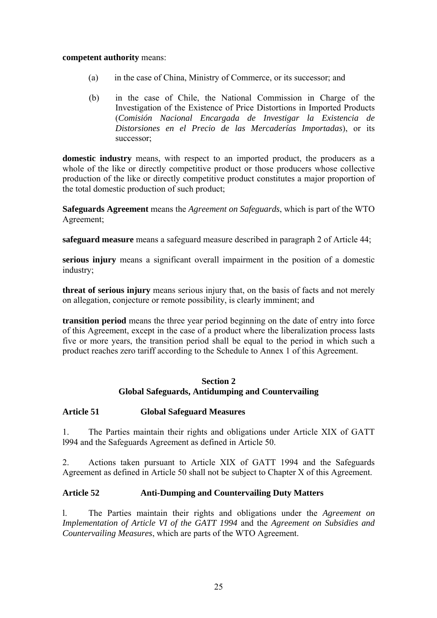#### **competent authority** means:

- (a) in the case of China, Ministry of Commerce, or its successor; and
- (b) in the case of Chile, the National Commission in Charge of the Investigation of the Existence of Price Distortions in Imported Products (*Comisión Nacional Encargada de Investigar la Existencia de Distorsiones en el Precio de las Mercaderías Importadas*), or its successor;

**domestic industry** means, with respect to an imported product, the producers as a whole of the like or directly competitive product or those producers whose collective production of the like or directly competitive product constitutes a major proportion of the total domestic production of such product;

**Safeguards Agreement** means the *Agreement on Safeguards*, which is part of the WTO Agreement;

**safeguard measure** means a safeguard measure described in paragraph 2 of Article 44;

**serious injury** means a significant overall impairment in the position of a domestic industry;

**threat of serious injury** means serious injury that, on the basis of facts and not merely on allegation, conjecture or remote possibility, is clearly imminent; and

**transition period** means the three year period beginning on the date of entry into force of this Agreement, except in the case of a product where the liberalization process lasts five or more years, the transition period shall be equal to the period in which such a product reaches zero tariff according to the Schedule to Annex 1 of this Agreement.

### **Section 2 Global Safeguards, Antidumping and Countervailing**

### **Article 51 Global Safeguard Measures**

1. The Parties maintain their rights and obligations under Article XIX of GATT l994 and the Safeguards Agreement as defined in Article 50.

2. Actions taken pursuant to Article XIX of GATT 1994 and the Safeguards Agreement as defined in Article 50 shall not be subject to Chapter X of this Agreement.

#### **Article 52 Anti-Dumping and Countervailing Duty Matters**

l. The Parties maintain their rights and obligations under the *Agreement on Implementation of Article VI of the GATT 1994* and the *Agreement on Subsidies and Countervailing Measures*, which are parts of the WTO Agreement.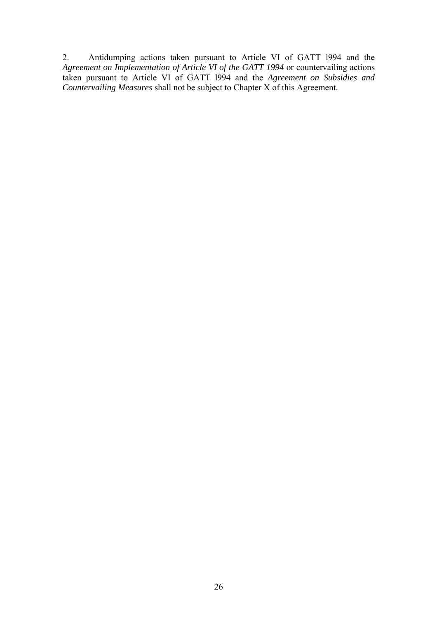2. Antidumping actions taken pursuant to Article VI of GATT l994 and the *Agreement on Implementation of Article VI of the GATT 1994* or countervailing actions taken pursuant to Article VI of GATT l994 and the *Agreement on Subsidies and Countervailing Measures* shall not be subject to Chapter X of this Agreement.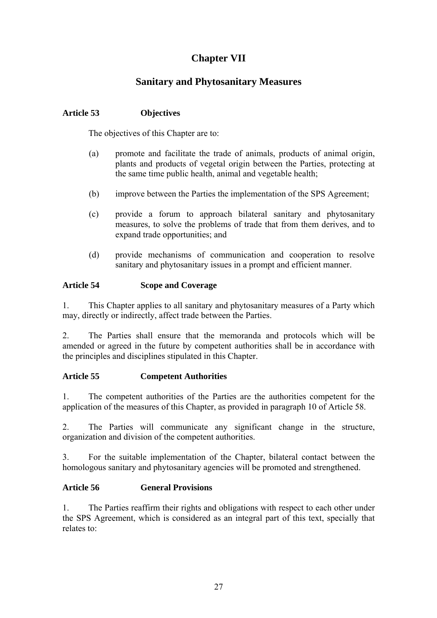# **Chapter VII**

# **Sanitary and Phytosanitary Measures**

## **Article 53 Objectives**

The objectives of this Chapter are to:

- (a) promote and facilitate the trade of animals, products of animal origin, plants and products of vegetal origin between the Parties, protecting at the same time public health, animal and vegetable health;
- (b) improve between the Parties the implementation of the SPS Agreement;
- (c) provide a forum to approach bilateral sanitary and phytosanitary measures, to solve the problems of trade that from them derives, and to expand trade opportunities; and
- (d) provide mechanisms of communication and cooperation to resolve sanitary and phytosanitary issues in a prompt and efficient manner.

## **Article 54 Scope and Coverage**

1. This Chapter applies to all sanitary and phytosanitary measures of a Party which may, directly or indirectly, affect trade between the Parties.

2. The Parties shall ensure that the memoranda and protocols which will be amended or agreed in the future by competent authorities shall be in accordance with the principles and disciplines stipulated in this Chapter.

## **Article 55 Competent Authorities**

1. The competent authorities of the Parties are the authorities competent for the application of the measures of this Chapter, as provided in paragraph 10 of Article 58.

2. The Parties will communicate any significant change in the structure, organization and division of the competent authorities.

3. For the suitable implementation of the Chapter, bilateral contact between the homologous sanitary and phytosanitary agencies will be promoted and strengthened.

## **Article 56 General Provisions**

1. The Parties reaffirm their rights and obligations with respect to each other under the SPS Agreement, which is considered as an integral part of this text, specially that relates to: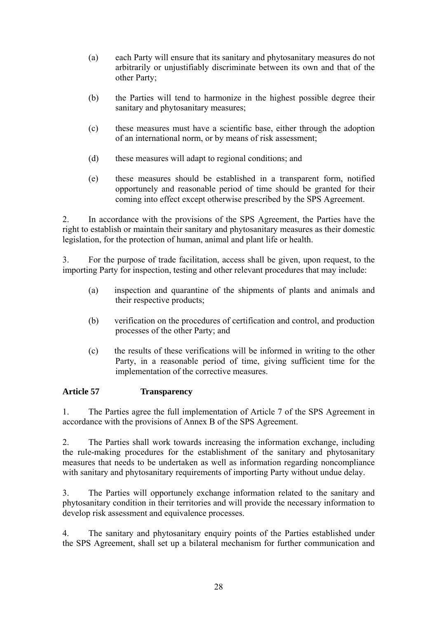- (a) each Party will ensure that its sanitary and phytosanitary measures do not arbitrarily or unjustifiably discriminate between its own and that of the other Party;
- (b) the Parties will tend to harmonize in the highest possible degree their sanitary and phytosanitary measures;
- (c) these measures must have a scientific base, either through the adoption of an international norm, or by means of risk assessment;
- (d) these measures will adapt to regional conditions; and
- (e) these measures should be established in a transparent form, notified opportunely and reasonable period of time should be granted for their coming into effect except otherwise prescribed by the SPS Agreement.

2. In accordance with the provisions of the SPS Agreement, the Parties have the right to establish or maintain their sanitary and phytosanitary measures as their domestic legislation, for the protection of human, animal and plant life or health.

3. For the purpose of trade facilitation, access shall be given, upon request, to the importing Party for inspection, testing and other relevant procedures that may include:

- (a) inspection and quarantine of the shipments of plants and animals and their respective products;
- (b) verification on the procedures of certification and control, and production processes of the other Party; and
- (c) the results of these verifications will be informed in writing to the other Party, in a reasonable period of time, giving sufficient time for the implementation of the corrective measures.

### **Article 57 Transparency**

1. The Parties agree the full implementation of Article 7 of the SPS Agreement in accordance with the provisions of Annex B of the SPS Agreement.

2. The Parties shall work towards increasing the information exchange, including the rule-making procedures for the establishment of the sanitary and phytosanitary measures that needs to be undertaken as well as information regarding noncompliance with sanitary and phytosanitary requirements of importing Party without undue delay.

3. The Parties will opportunely exchange information related to the sanitary and phytosanitary condition in their territories and will provide the necessary information to develop risk assessment and equivalence processes.

4. The sanitary and phytosanitary enquiry points of the Parties established under the SPS Agreement, shall set up a bilateral mechanism for further communication and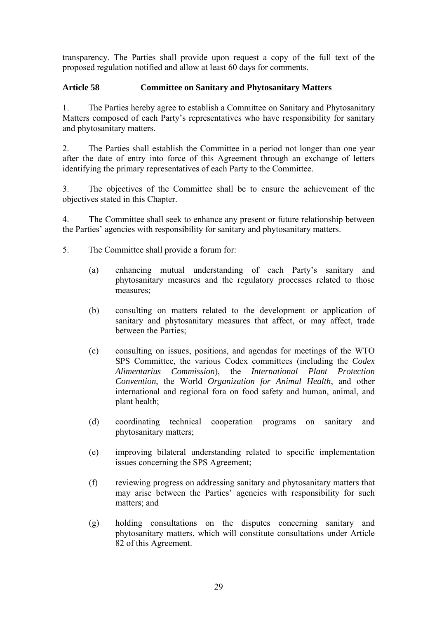transparency. The Parties shall provide upon request a copy of the full text of the proposed regulation notified and allow at least 60 days for comments.

## **Article 58 Committee on Sanitary and Phytosanitary Matters**

1. The Parties hereby agree to establish a Committee on Sanitary and Phytosanitary Matters composed of each Party's representatives who have responsibility for sanitary and phytosanitary matters.

2. The Parties shall establish the Committee in a period not longer than one year after the date of entry into force of this Agreement through an exchange of letters identifying the primary representatives of each Party to the Committee.

3. The objectives of the Committee shall be to ensure the achievement of the objectives stated in this Chapter.

4. The Committee shall seek to enhance any present or future relationship between the Parties' agencies with responsibility for sanitary and phytosanitary matters.

- 5. The Committee shall provide a forum for:
	- (a) enhancing mutual understanding of each Party's sanitary and phytosanitary measures and the regulatory processes related to those measures;
	- (b) consulting on matters related to the development or application of sanitary and phytosanitary measures that affect, or may affect, trade between the Parties;
	- (c) consulting on issues, positions, and agendas for meetings of the WTO SPS Committee, the various Codex committees (including the *Codex Alimentarius Commission*), the *International Plant Protection Convention*, the World *Organization for Animal Health*, and other international and regional fora on food safety and human, animal, and plant health;
	- (d) coordinating technical cooperation programs on sanitary and phytosanitary matters;
	- (e) improving bilateral understanding related to specific implementation issues concerning the SPS Agreement;
	- (f) reviewing progress on addressing sanitary and phytosanitary matters that may arise between the Parties' agencies with responsibility for such matters; and
	- (g) holding consultations on the disputes concerning sanitary and phytosanitary matters, which will constitute consultations under Article 82 of this Agreement.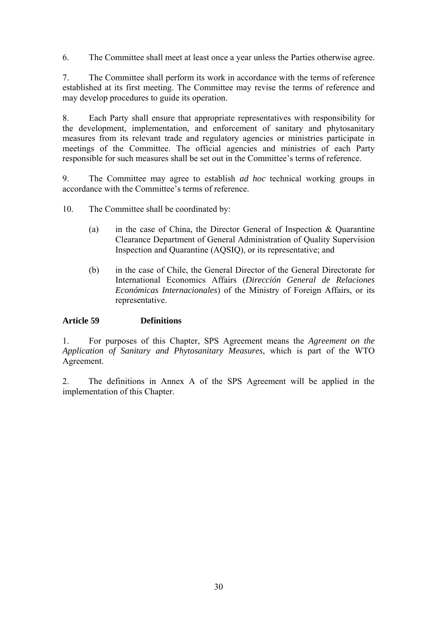6. The Committee shall meet at least once a year unless the Parties otherwise agree.

7. The Committee shall perform its work in accordance with the terms of reference established at its first meeting. The Committee may revise the terms of reference and may develop procedures to guide its operation.

8. Each Party shall ensure that appropriate representatives with responsibility for the development, implementation, and enforcement of sanitary and phytosanitary measures from its relevant trade and regulatory agencies or ministries participate in meetings of the Committee. The official agencies and ministries of each Party responsible for such measures shall be set out in the Committee's terms of reference.

9. The Committee may agree to establish *ad hoc* technical working groups in accordance with the Committee's terms of reference.

- 10. The Committee shall be coordinated by:
	- (a) in the case of China, the Director General of Inspection & Quarantine Clearance Department of General Administration of Quality Supervision Inspection and Quarantine (AQSIQ), or its representative; and
	- (b) in the case of Chile, the General Director of the General Directorate for International Economics Affairs (*Dirección General de Relaciones Económicas Internacionales*) of the Ministry of Foreign Affairs, or its representative.

### **Article 59 Definitions**

1. For purposes of this Chapter, SPS Agreement means the *Agreement on the Application of Sanitary and Phytosanitary Measures*, which is part of the WTO Agreement.

2. The definitions in Annex A of the SPS Agreement will be applied in the implementation of this Chapter.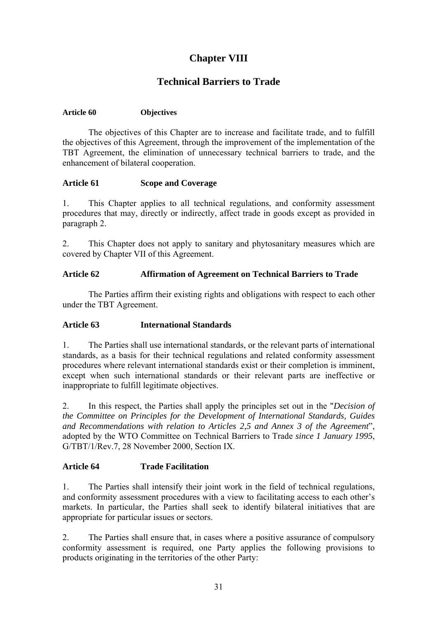# **Chapter VIII**

# **Technical Barriers to Trade**

#### **Article 60 Objectives**

The objectives of this Chapter are to increase and facilitate trade, and to fulfill the objectives of this Agreement, through the improvement of the implementation of the TBT Agreement, the elimination of unnecessary technical barriers to trade, and the enhancement of bilateral cooperation.

#### **Article 61 Scope and Coverage**

1. This Chapter applies to all technical regulations, and conformity assessment procedures that may, directly or indirectly, affect trade in goods except as provided in paragraph 2.

2. This Chapter does not apply to sanitary and phytosanitary measures which are covered by Chapter VII of this Agreement.

### **Article 62 Affirmation of Agreement on Technical Barriers to Trade**

The Parties affirm their existing rights and obligations with respect to each other under the TBT Agreement.

### **Article 63 International Standards**

1. The Parties shall use international standards, or the relevant parts of international standards, as a basis for their technical regulations and related conformity assessment procedures where relevant international standards exist or their completion is imminent, except when such international standards or their relevant parts are ineffective or inappropriate to fulfill legitimate objectives.

2. In this respect, the Parties shall apply the principles set out in the "*Decision of the Committee on Principles for the Development of International Standards, Guides and Recommendations with relation to Articles 2,5 and Annex 3 of the Agreement*", adopted by the WTO Committee on Technical Barriers to Trade *since 1 January 1995*, G/TBT/1/Rev.7, 28 November 2000, Section IX.

#### **Article 64 Trade Facilitation**

1. The Parties shall intensify their joint work in the field of technical regulations, and conformity assessment procedures with a view to facilitating access to each other's markets. In particular, the Parties shall seek to identify bilateral initiatives that are appropriate for particular issues or sectors.

2. The Parties shall ensure that, in cases where a positive assurance of compulsory conformity assessment is required, one Party applies the following provisions to products originating in the territories of the other Party: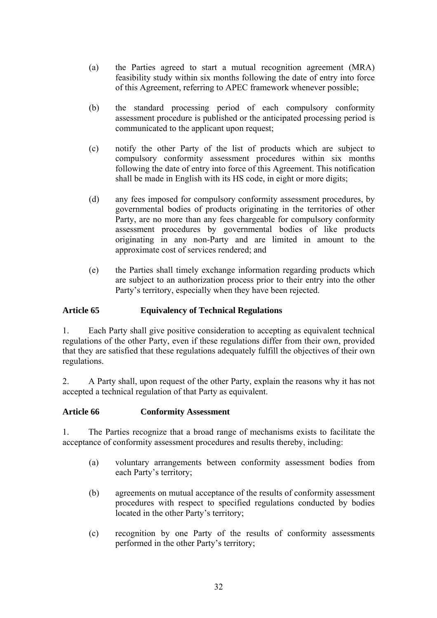- (a) the Parties agreed to start a mutual recognition agreement (MRA) feasibility study within six months following the date of entry into force of this Agreement, referring to APEC framework whenever possible;
- (b) the standard processing period of each compulsory conformity assessment procedure is published or the anticipated processing period is communicated to the applicant upon request;
- (c) notify the other Party of the list of products which are subject to compulsory conformity assessment procedures within six months following the date of entry into force of this Agreement. This notification shall be made in English with its HS code, in eight or more digits;
- (d) any fees imposed for compulsory conformity assessment procedures, by governmental bodies of products originating in the territories of other Party, are no more than any fees chargeable for compulsory conformity assessment procedures by governmental bodies of like products originating in any non-Party and are limited in amount to the approximate cost of services rendered; and
- (e) the Parties shall timely exchange information regarding products which are subject to an authorization process prior to their entry into the other Party's territory, especially when they have been rejected.

### **Article 65 Equivalency of Technical Regulations**

1. Each Party shall give positive consideration to accepting as equivalent technical regulations of the other Party, even if these regulations differ from their own, provided that they are satisfied that these regulations adequately fulfill the objectives of their own regulations.

2. A Party shall, upon request of the other Party, explain the reasons why it has not accepted a technical regulation of that Party as equivalent.

### **Article 66 Conformity Assessment**

1. The Parties recognize that a broad range of mechanisms exists to facilitate the acceptance of conformity assessment procedures and results thereby, including:

- (a) voluntary arrangements between conformity assessment bodies from each Party's territory;
- (b) agreements on mutual acceptance of the results of conformity assessment procedures with respect to specified regulations conducted by bodies located in the other Party's territory;
- (c) recognition by one Party of the results of conformity assessments performed in the other Party's territory;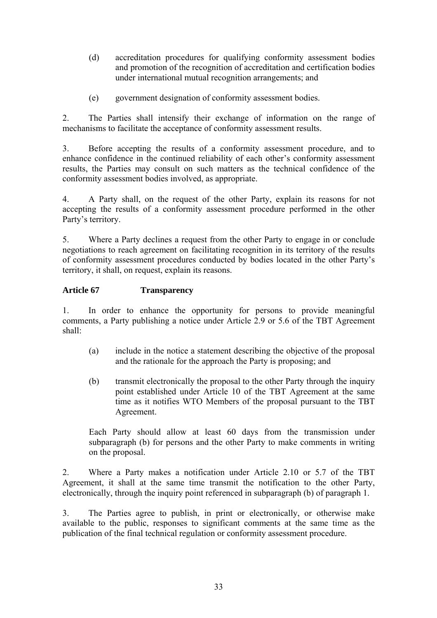- (d) accreditation procedures for qualifying conformity assessment bodies and promotion of the recognition of accreditation and certification bodies under international mutual recognition arrangements; and
- (e) government designation of conformity assessment bodies.

2. The Parties shall intensify their exchange of information on the range of mechanisms to facilitate the acceptance of conformity assessment results.

3. Before accepting the results of a conformity assessment procedure, and to enhance confidence in the continued reliability of each other's conformity assessment results, the Parties may consult on such matters as the technical confidence of the conformity assessment bodies involved, as appropriate.

4. A Party shall, on the request of the other Party, explain its reasons for not accepting the results of a conformity assessment procedure performed in the other Party's territory.

5. Where a Party declines a request from the other Party to engage in or conclude negotiations to reach agreement on facilitating recognition in its territory of the results of conformity assessment procedures conducted by bodies located in the other Party's territory, it shall, on request, explain its reasons.

### **Article 67 Transparency**

1. In order to enhance the opportunity for persons to provide meaningful comments, a Party publishing a notice under Article 2.9 or 5.6 of the TBT Agreement shall:

- (a) include in the notice a statement describing the objective of the proposal and the rationale for the approach the Party is proposing; and
- (b) transmit electronically the proposal to the other Party through the inquiry point established under Article 10 of the TBT Agreement at the same time as it notifies WTO Members of the proposal pursuant to the TBT Agreement.

Each Party should allow at least 60 days from the transmission under subparagraph (b) for persons and the other Party to make comments in writing on the proposal.

2. Where a Party makes a notification under Article 2.10 or 5.7 of the TBT Agreement, it shall at the same time transmit the notification to the other Party, electronically, through the inquiry point referenced in subparagraph (b) of paragraph 1.

3. The Parties agree to publish, in print or electronically, or otherwise make available to the public, responses to significant comments at the same time as the publication of the final technical regulation or conformity assessment procedure.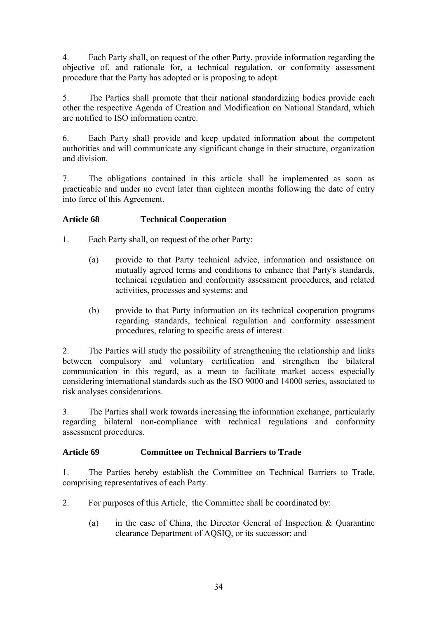4. Each Party shall, on request of the other Party, provide information regarding the objective of, and rationale for, a technical regulation, or conformity assessment procedure that the Party has adopted or is proposing to adopt.

5. The Parties shall promote that their national standardizing bodies provide each other the respective Agenda of Creation and Modification on National Standard, which are notified to ISO information centre.

6. Each Party shall provide and keep updated information about the competent authorities and will communicate any significant change in their structure, organization and division.

7. The obligations contained in this article shall be implemented as soon as practicable and under no event later than eighteen months following the date of entry into force of this Agreement.

## **Article 68 Technical Cooperation**

- 1. Each Party shall, on request of the other Party:
	- (a) provide to that Party technical advice, information and assistance on mutually agreed terms and conditions to enhance that Party's standards, technical regulation and conformity assessment procedures, and related activities, processes and systems; and
	- (b) provide to that Party information on its technical cooperation programs regarding standards, technical regulation and conformity assessment procedures, relating to specific areas of interest.

2. The Parties will study the possibility of strengthening the relationship and links between compulsory and voluntary certification and strengthen the bilateral communication in this regard, as a mean to facilitate market access especially considering international standards such as the ISO 9000 and 14000 series, associated to risk analyses considerations.

3. The Parties shall work towards increasing the information exchange, particularly regarding bilateral non-compliance with technical regulations and conformity assessment procedures.

### **Article 69 Committee on Technical Barriers to Trade**

1. The Parties hereby establish the Committee on Technical Barriers to Trade, comprising representatives of each Party.

- 2. For purposes of this Article, the Committee shall be coordinated by:
	- (a) in the case of China, the Director General of Inspection & Quarantine clearance Department of AQSIQ, or its successor; and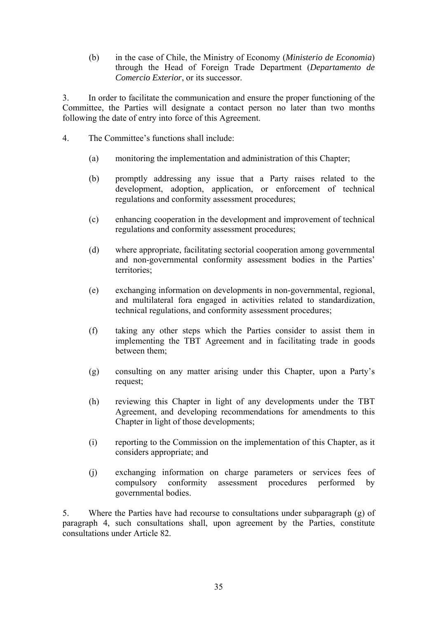(b) in the case of Chile, the Ministry of Economy (*Ministerio de Economia*) through the Head of Foreign Trade Department (*Departamento de Comercio Exterior*, or its successor.

3. In order to facilitate the communication and ensure the proper functioning of the Committee, the Parties will designate a contact person no later than two months following the date of entry into force of this Agreement.

- 4. The Committee's functions shall include:
	- (a) monitoring the implementation and administration of this Chapter;
	- (b) promptly addressing any issue that a Party raises related to the development, adoption, application, or enforcement of technical regulations and conformity assessment procedures;
	- (c) enhancing cooperation in the development and improvement of technical regulations and conformity assessment procedures;
	- (d) where appropriate, facilitating sectorial cooperation among governmental and non-governmental conformity assessment bodies in the Parties' territories;
	- (e) exchanging information on developments in non-governmental, regional, and multilateral fora engaged in activities related to standardization, technical regulations, and conformity assessment procedures;
	- (f) taking any other steps which the Parties consider to assist them in implementing the TBT Agreement and in facilitating trade in goods between them;
	- (g) consulting on any matter arising under this Chapter, upon a Party's request;
	- (h) reviewing this Chapter in light of any developments under the TBT Agreement, and developing recommendations for amendments to this Chapter in light of those developments;
	- (i) reporting to the Commission on the implementation of this Chapter, as it considers appropriate; and
	- (j) exchanging information on charge parameters or services fees of compulsory conformity assessment procedures performed by governmental bodies.

5. Where the Parties have had recourse to consultations under subparagraph (g) of paragraph 4, such consultations shall, upon agreement by the Parties, constitute consultations under Article 82.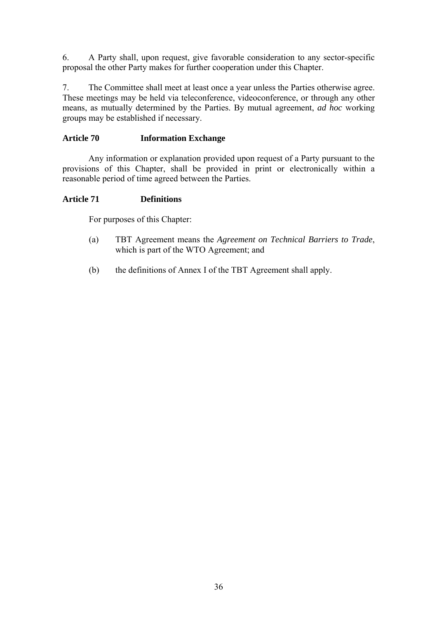6. A Party shall, upon request, give favorable consideration to any sector-specific proposal the other Party makes for further cooperation under this Chapter.

7. The Committee shall meet at least once a year unless the Parties otherwise agree. These meetings may be held via teleconference, videoconference, or through any other means, as mutually determined by the Parties. By mutual agreement, *ad hoc* working groups may be established if necessary.

### **Article 70 Information Exchange**

Any information or explanation provided upon request of a Party pursuant to the provisions of this Chapter, shall be provided in print or electronically within a reasonable period of time agreed between the Parties.

### **Article 71 Definitions**

For purposes of this Chapter:

- (a) TBT Agreement means the *Agreement on Technical Barriers to Trade*, which is part of the WTO Agreement; and
- (b) the definitions of Annex I of the TBT Agreement shall apply.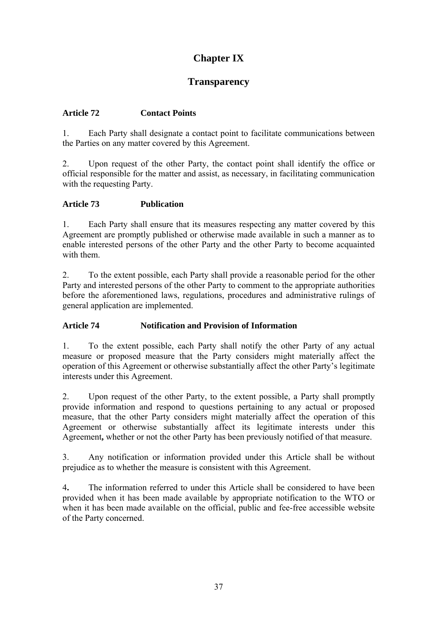## **Chapter IX**

### **Transparency**

#### **Article 72 Contact Points**

1. Each Party shall designate a contact point to facilitate communications between the Parties on any matter covered by this Agreement.

2. Upon request of the other Party, the contact point shall identify the office or official responsible for the matter and assist, as necessary, in facilitating communication with the requesting Party.

#### **Article 73 Publication**

1. Each Party shall ensure that its measures respecting any matter covered by this Agreement are promptly published or otherwise made available in such a manner as to enable interested persons of the other Party and the other Party to become acquainted with them.

2. To the extent possible, each Party shall provide a reasonable period for the other Party and interested persons of the other Party to comment to the appropriate authorities before the aforementioned laws, regulations, procedures and administrative rulings of general application are implemented.

#### **Article 74 Notification and Provision of Information**

1. To the extent possible, each Party shall notify the other Party of any actual measure or proposed measure that the Party considers might materially affect the operation of this Agreement or otherwise substantially affect the other Party's legitimate interests under this Agreement.

2. Upon request of the other Party, to the extent possible, a Party shall promptly provide information and respond to questions pertaining to any actual or proposed measure, that the other Party considers might materially affect the operation of this Agreement or otherwise substantially affect its legitimate interests under this Agreement**,** whether or not the other Party has been previously notified of that measure.

3. Any notification or information provided under this Article shall be without prejudice as to whether the measure is consistent with this Agreement.

4**.** The information referred to under this Article shall be considered to have been provided when it has been made available by appropriate notification to the WTO or when it has been made available on the official, public and fee-free accessible website of the Party concerned.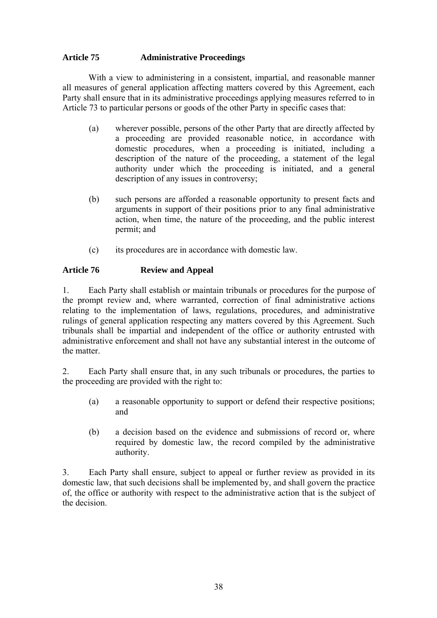#### **Article 75 Administrative Proceedings**

With a view to administering in a consistent, impartial, and reasonable manner all measures of general application affecting matters covered by this Agreement, each Party shall ensure that in its administrative proceedings applying measures referred to in Article 73 to particular persons or goods of the other Party in specific cases that:

- (a) wherever possible, persons of the other Party that are directly affected by a proceeding are provided reasonable notice, in accordance with domestic procedures, when a proceeding is initiated, including a description of the nature of the proceeding, a statement of the legal authority under which the proceeding is initiated, and a general description of any issues in controversy;
- (b) such persons are afforded a reasonable opportunity to present facts and arguments in support of their positions prior to any final administrative action, when time, the nature of the proceeding, and the public interest permit; and
- (c) its procedures are in accordance with domestic law.

#### **Article 76 Review and Appeal**

1. Each Party shall establish or maintain tribunals or procedures for the purpose of the prompt review and, where warranted, correction of final administrative actions relating to the implementation of laws, regulations, procedures, and administrative rulings of general application respecting any matters covered by this Agreement. Such tribunals shall be impartial and independent of the office or authority entrusted with administrative enforcement and shall not have any substantial interest in the outcome of the matter.

2. Each Party shall ensure that, in any such tribunals or procedures, the parties to the proceeding are provided with the right to:

- (a) a reasonable opportunity to support or defend their respective positions; and
- (b) a decision based on the evidence and submissions of record or, where required by domestic law, the record compiled by the administrative authority.

3. Each Party shall ensure, subject to appeal or further review as provided in its domestic law, that such decisions shall be implemented by, and shall govern the practice of, the office or authority with respect to the administrative action that is the subject of the decision.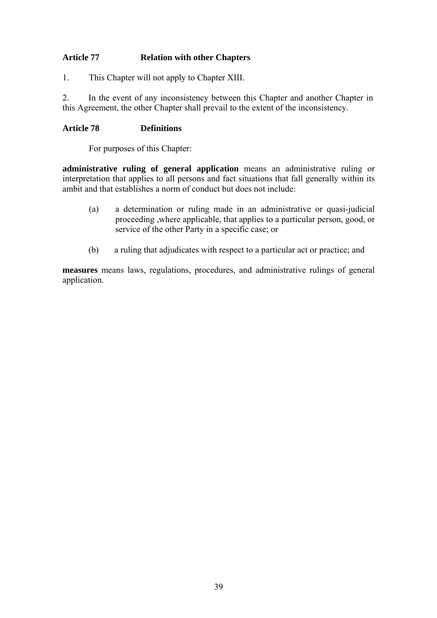### **Article 77 Relation with other Chapters**

1. This Chapter will not apply to Chapter XIII.

2. In the event of any inconsistency between this Chapter and another Chapter in this Agreement, the other Chapter shall prevail to the extent of the inconsistency.

#### **Article 78 Definitions**

For purposes of this Chapter:

**administrative ruling of general application** means an administrative ruling or interpretation that applies to all persons and fact situations that fall generally within its ambit and that establishes a norm of conduct but does not include:

- (a) a determination or ruling made in an administrative or quasi-judicial proceeding ,where applicable, that applies to a particular person, good, or service of the other Party in a specific case; or
- (b) a ruling that adjudicates with respect to a particular act or practice; and

**measures** means laws, regulations, procedures, and administrative rulings of general application.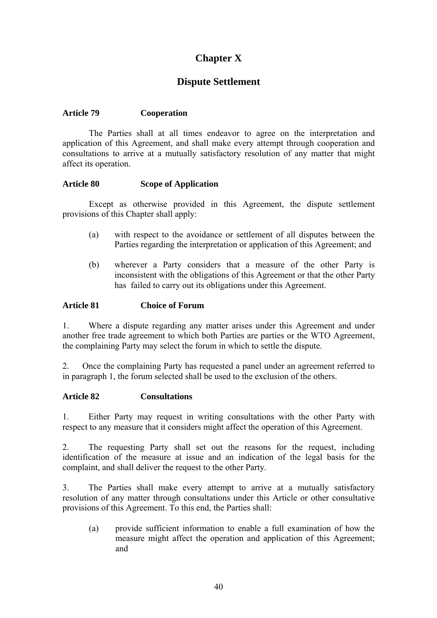## **Chapter X**

## **Dispute Settlement**

#### **Article 79 Cooperation**

The Parties shall at all times endeavor to agree on the interpretation and application of this Agreement, and shall make every attempt through cooperation and consultations to arrive at a mutually satisfactory resolution of any matter that might affect its operation.

#### **Article 80 Scope of Application**

Except as otherwise provided in this Agreement, the dispute settlement provisions of this Chapter shall apply:

- (a) with respect to the avoidance or settlement of all disputes between the Parties regarding the interpretation or application of this Agreement; and
- (b) wherever a Party considers that a measure of the other Party is inconsistent with the obligations of this Agreement or that the other Party has failed to carry out its obligations under this Agreement.

#### **Article 81 Choice of Forum**

1. Where a dispute regarding any matter arises under this Agreement and under another free trade agreement to which both Parties are parties or the WTO Agreement, the complaining Party may select the forum in which to settle the dispute.

2. Once the complaining Party has requested a panel under an agreement referred to in paragraph 1, the forum selected shall be used to the exclusion of the others.

#### **Article 82 Consultations**

1. Either Party may request in writing consultations with the other Party with respect to any measure that it considers might affect the operation of this Agreement.

2. The requesting Party shall set out the reasons for the request, including identification of the measure at issue and an indication of the legal basis for the complaint, and shall deliver the request to the other Party.

3. The Parties shall make every attempt to arrive at a mutually satisfactory resolution of any matter through consultations under this Article or other consultative provisions of this Agreement. To this end, the Parties shall:

(a) provide sufficient information to enable a full examination of how the measure might affect the operation and application of this Agreement; and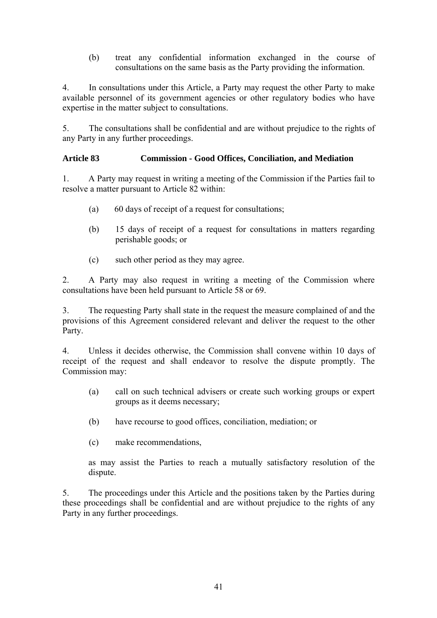(b) treat any confidential information exchanged in the course of consultations on the same basis as the Party providing the information.

4. In consultations under this Article, a Party may request the other Party to make available personnel of its government agencies or other regulatory bodies who have expertise in the matter subject to consultations.

5. The consultations shall be confidential and are without prejudice to the rights of any Party in any further proceedings.

#### **Article 83 Commission - Good Offices, Conciliation, and Mediation**

1. A Party may request in writing a meeting of the Commission if the Parties fail to resolve a matter pursuant to Article 82 within:

- (a) 60 days of receipt of a request for consultations;
- (b) 15 days of receipt of a request for consultations in matters regarding perishable goods; or
- (c) such other period as they may agree.

2. A Party may also request in writing a meeting of the Commission where consultations have been held pursuant to Article 58 or 69.

3. The requesting Party shall state in the request the measure complained of and the provisions of this Agreement considered relevant and deliver the request to the other Party.

4. Unless it decides otherwise, the Commission shall convene within 10 days of receipt of the request and shall endeavor to resolve the dispute promptly. The Commission may:

- (a) call on such technical advisers or create such working groups or expert groups as it deems necessary;
- (b) have recourse to good offices, conciliation, mediation; or
- (c) make recommendations,

as may assist the Parties to reach a mutually satisfactory resolution of the dispute.

5. The proceedings under this Article and the positions taken by the Parties during these proceedings shall be confidential and are without prejudice to the rights of any Party in any further proceedings.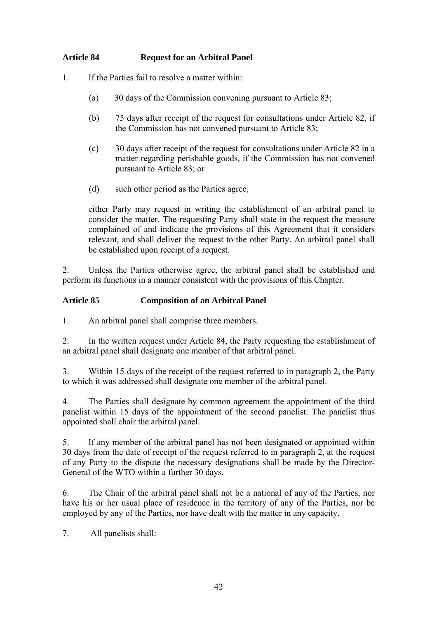#### **Article 84 Request for an Arbitral Panel**

- 1. If the Parties fail to resolve a matter within:
	- (a) 30 days of the Commission convening pursuant to Article 83;
	- (b) 75 days after receipt of the request for consultations under Article 82, if the Commission has not convened pursuant to Article 83;
	- (c) 30 days after receipt of the request for consultations under Article 82 in a matter regarding perishable goods, if the Commission has not convened pursuant to Article 83; or
	- (d) such other period as the Parties agree,

either Party may request in writing the establishment of an arbitral panel to consider the matter. The requesting Party shall state in the request the measure complained of and indicate the provisions of this Agreement that it considers relevant, and shall deliver the request to the other Party. An arbitral panel shall be established upon receipt of a request.

2. Unless the Parties otherwise agree, the arbitral panel shall be established and perform its functions in a manner consistent with the provisions of this Chapter.

#### **Article 85 Composition of an Arbitral Panel**

1. An arbitral panel shall comprise three members.

2. In the written request under Article 84, the Party requesting the establishment of an arbitral panel shall designate one member of that arbitral panel.

3. Within 15 days of the receipt of the request referred to in paragraph 2, the Party to which it was addressed shall designate one member of the arbitral panel.

4. The Parties shall designate by common agreement the appointment of the third panelist within 15 days of the appointment of the second panelist. The panelist thus appointed shall chair the arbitral panel.

5. If any member of the arbitral panel has not been designated or appointed within 30 days from the date of receipt of the request referred to in paragraph 2, at the request of any Party to the dispute the necessary designations shall be made by the Director-General of the WTO within a further 30 days.

6. The Chair of the arbitral panel shall not be a national of any of the Parties, nor have his or her usual place of residence in the territory of any of the Parties, nor be employed by any of the Parties, nor have dealt with the matter in any capacity.

7. All panelists shall: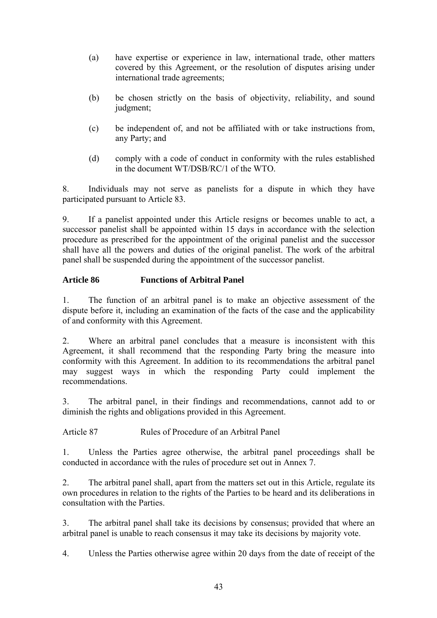- (a) have expertise or experience in law, international trade, other matters covered by this Agreement, or the resolution of disputes arising under international trade agreements;
- (b) be chosen strictly on the basis of objectivity, reliability, and sound judgment;
- (c) be independent of, and not be affiliated with or take instructions from, any Party; and
- (d) comply with a code of conduct in conformity with the rules established in the document WT/DSB/RC/1 of the WTO.

8. Individuals may not serve as panelists for a dispute in which they have participated pursuant to Article 83.

9. If a panelist appointed under this Article resigns or becomes unable to act, a successor panelist shall be appointed within 15 days in accordance with the selection procedure as prescribed for the appointment of the original panelist and the successor shall have all the powers and duties of the original panelist. The work of the arbitral panel shall be suspended during the appointment of the successor panelist.

#### **Article 86 Functions of Arbitral Panel**

1. The function of an arbitral panel is to make an objective assessment of the dispute before it, including an examination of the facts of the case and the applicability of and conformity with this Agreement.

2. Where an arbitral panel concludes that a measure is inconsistent with this Agreement, it shall recommend that the responding Party bring the measure into conformity with this Agreement. In addition to its recommendations the arbitral panel may suggest ways in which the responding Party could implement the recommendations.

3. The arbitral panel, in their findings and recommendations, cannot add to or diminish the rights and obligations provided in this Agreement.

Article 87 Rules of Procedure of an Arbitral Panel

1. Unless the Parties agree otherwise, the arbitral panel proceedings shall be conducted in accordance with the rules of procedure set out in Annex 7.

2. The arbitral panel shall, apart from the matters set out in this Article, regulate its own procedures in relation to the rights of the Parties to be heard and its deliberations in consultation with the Parties.

3. The arbitral panel shall take its decisions by consensus; provided that where an arbitral panel is unable to reach consensus it may take its decisions by majority vote.

4. Unless the Parties otherwise agree within 20 days from the date of receipt of the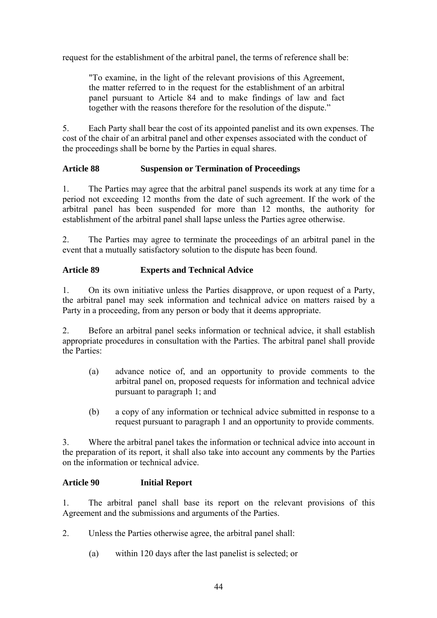request for the establishment of the arbitral panel, the terms of reference shall be:

"To examine, in the light of the relevant provisions of this Agreement, the matter referred to in the request for the establishment of an arbitral panel pursuant to Article 84 and to make findings of law and fact together with the reasons therefore for the resolution of the dispute."

5. Each Party shall bear the cost of its appointed panelist and its own expenses. The cost of the chair of an arbitral panel and other expenses associated with the conduct of the proceedings shall be borne by the Parties in equal shares.

#### **Article 88 Suspension or Termination of Proceedings**

1. The Parties may agree that the arbitral panel suspends its work at any time for a period not exceeding 12 months from the date of such agreement. If the work of the arbitral panel has been suspended for more than 12 months, the authority for establishment of the arbitral panel shall lapse unless the Parties agree otherwise.

2. The Parties may agree to terminate the proceedings of an arbitral panel in the event that a mutually satisfactory solution to the dispute has been found.

#### **Article 89 Experts and Technical Advice**

1. On its own initiative unless the Parties disapprove, or upon request of a Party, the arbitral panel may seek information and technical advice on matters raised by a Party in a proceeding, from any person or body that it deems appropriate.

2. Before an arbitral panel seeks information or technical advice, it shall establish appropriate procedures in consultation with the Parties. The arbitral panel shall provide the Parties:

- (a) advance notice of, and an opportunity to provide comments to the arbitral panel on, proposed requests for information and technical advice pursuant to paragraph 1; and
- (b) a copy of any information or technical advice submitted in response to a request pursuant to paragraph 1 and an opportunity to provide comments.

3. Where the arbitral panel takes the information or technical advice into account in the preparation of its report, it shall also take into account any comments by the Parties on the information or technical advice.

#### **Article 90 Initial Report**

1. The arbitral panel shall base its report on the relevant provisions of this Agreement and the submissions and arguments of the Parties.

- 2. Unless the Parties otherwise agree, the arbitral panel shall:
	- (a) within 120 days after the last panelist is selected; or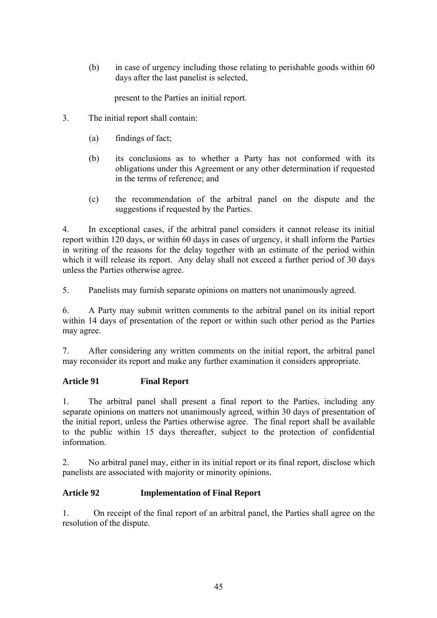(b) in case of urgency including those relating to perishable goods within 60 days after the last panelist is selected,

present to the Parties an initial report.

- 3. The initial report shall contain:
	- (a) findings of fact;
	- (b) its conclusions as to whether a Party has not conformed with its obligations under this Agreement or any other determination if requested in the terms of reference; and
	- (c) the recommendation of the arbitral panel on the dispute and the suggestions if requested by the Parties.

4. In exceptional cases, if the arbitral panel considers it cannot release its initial report within 120 days, or within 60 days in cases of urgency, it shall inform the Parties in writing of the reasons for the delay together with an estimate of the period within which it will release its report. Any delay shall not exceed a further period of 30 days unless the Parties otherwise agree.

5. Panelists may furnish separate opinions on matters not unanimously agreed.

6. A Party may submit written comments to the arbitral panel on its initial report within 14 days of presentation of the report or within such other period as the Parties may agree.

7. After considering any written comments on the initial report, the arbitral panel may reconsider its report and make any further examination it considers appropriate.

#### **Article 91 Final Report**

1. The arbitral panel shall present a final report to the Parties, including any separate opinions on matters not unanimously agreed, within 30 days of presentation of the initial report, unless the Parties otherwise agree. The final report shall be available to the public within 15 days thereafter, subject to the protection of confidential information.

2. No arbitral panel may, either in its initial report or its final report, disclose which panelists are associated with majority or minority opinions.

#### **Article 92 Implementation of Final Report**

1. On receipt of the final report of an arbitral panel, the Parties shall agree on the resolution of the dispute.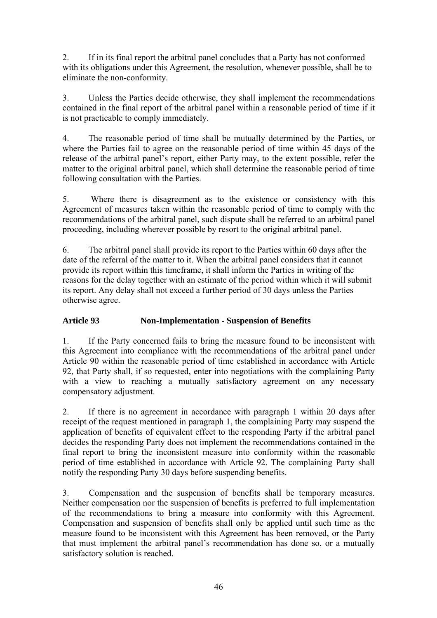2. If in its final report the arbitral panel concludes that a Party has not conformed with its obligations under this Agreement, the resolution, whenever possible, shall be to eliminate the non-conformity.

3. Unless the Parties decide otherwise, they shall implement the recommendations contained in the final report of the arbitral panel within a reasonable period of time if it is not practicable to comply immediately.

4. The reasonable period of time shall be mutually determined by the Parties, or where the Parties fail to agree on the reasonable period of time within 45 days of the release of the arbitral panel's report, either Party may, to the extent possible, refer the matter to the original arbitral panel, which shall determine the reasonable period of time following consultation with the Parties.

5. Where there is disagreement as to the existence or consistency with this Agreement of measures taken within the reasonable period of time to comply with the recommendations of the arbitral panel, such dispute shall be referred to an arbitral panel proceeding, including wherever possible by resort to the original arbitral panel.

6. The arbitral panel shall provide its report to the Parties within 60 days after the date of the referral of the matter to it. When the arbitral panel considers that it cannot provide its report within this timeframe, it shall inform the Parties in writing of the reasons for the delay together with an estimate of the period within which it will submit its report. Any delay shall not exceed a further period of 30 days unless the Parties otherwise agree.

### **Article 93 Non-Implementation - Suspension of Benefits**

1. If the Party concerned fails to bring the measure found to be inconsistent with this Agreement into compliance with the recommendations of the arbitral panel under Article 90 within the reasonable period of time established in accordance with Article 92, that Party shall, if so requested, enter into negotiations with the complaining Party with a view to reaching a mutually satisfactory agreement on any necessary compensatory adjustment.

2. If there is no agreement in accordance with paragraph 1 within 20 days after receipt of the request mentioned in paragraph 1, the complaining Party may suspend the application of benefits of equivalent effect to the responding Party if the arbitral panel decides the responding Party does not implement the recommendations contained in the final report to bring the inconsistent measure into conformity within the reasonable period of time established in accordance with Article 92. The complaining Party shall notify the responding Party 30 days before suspending benefits.

3. Compensation and the suspension of benefits shall be temporary measures. Neither compensation nor the suspension of benefits is preferred to full implementation of the recommendations to bring a measure into conformity with this Agreement. Compensation and suspension of benefits shall only be applied until such time as the measure found to be inconsistent with this Agreement has been removed, or the Party that must implement the arbitral panel's recommendation has done so, or a mutually satisfactory solution is reached.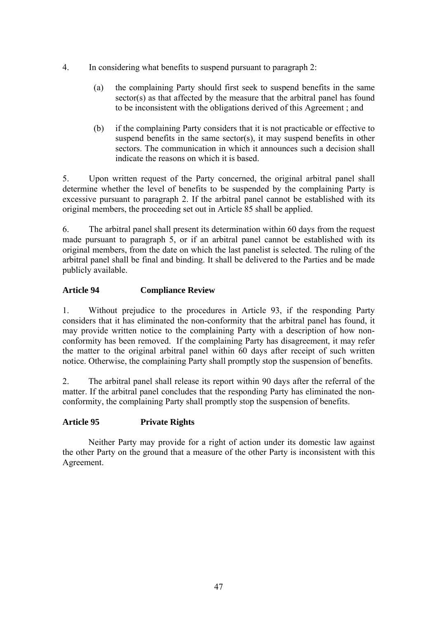- 4. In considering what benefits to suspend pursuant to paragraph 2:
	- (a) the complaining Party should first seek to suspend benefits in the same sector(s) as that affected by the measure that the arbitral panel has found to be inconsistent with the obligations derived of this Agreement ; and
	- (b) if the complaining Party considers that it is not practicable or effective to suspend benefits in the same sector(s), it may suspend benefits in other sectors. The communication in which it announces such a decision shall indicate the reasons on which it is based.

5. Upon written request of the Party concerned, the original arbitral panel shall determine whether the level of benefits to be suspended by the complaining Party is excessive pursuant to paragraph 2. If the arbitral panel cannot be established with its original members, the proceeding set out in Article 85 shall be applied.

6. The arbitral panel shall present its determination within 60 days from the request made pursuant to paragraph 5, or if an arbitral panel cannot be established with its original members, from the date on which the last panelist is selected. The ruling of the arbitral panel shall be final and binding. It shall be delivered to the Parties and be made publicly available.

#### **Article 94 Compliance Review**

1. Without prejudice to the procedures in Article 93, if the responding Party considers that it has eliminated the non-conformity that the arbitral panel has found, it may provide written notice to the complaining Party with a description of how nonconformity has been removed. If the complaining Party has disagreement, it may refer the matter to the original arbitral panel within 60 days after receipt of such written notice. Otherwise, the complaining Party shall promptly stop the suspension of benefits.

2. The arbitral panel shall release its report within 90 days after the referral of the matter. If the arbitral panel concludes that the responding Party has eliminated the nonconformity, the complaining Party shall promptly stop the suspension of benefits.

#### **Article 95 Private Rights**

Neither Party may provide for a right of action under its domestic law against the other Party on the ground that a measure of the other Party is inconsistent with this Agreement.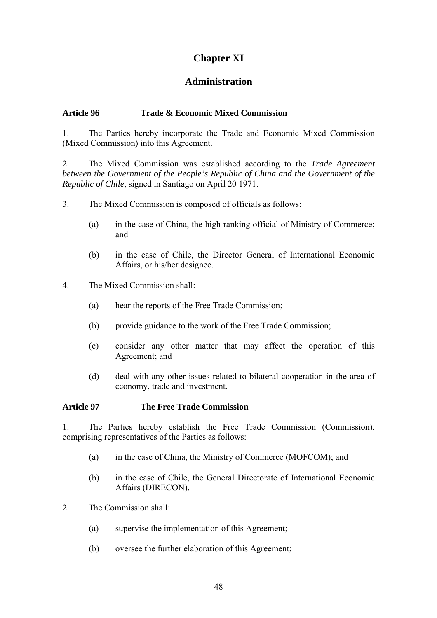## **Chapter XI**

### **Administration**

#### **Article 96 Trade & Economic Mixed Commission**

1. The Parties hereby incorporate the Trade and Economic Mixed Commission (Mixed Commission) into this Agreement.

2. The Mixed Commission was established according to the *Trade Agreement between the Government of the People's Republic of China and the Government of the Republic of Chile*, signed in Santiago on April 20 1971.

- 3. The Mixed Commission is composed of officials as follows:
	- (a) in the case of China, the high ranking official of Ministry of Commerce; and
	- (b) in the case of Chile, the Director General of International Economic Affairs, or his/her designee.
- 4. The Mixed Commission shall:
	- (a) hear the reports of the Free Trade Commission;
	- (b) provide guidance to the work of the Free Trade Commission;
	- (c) consider any other matter that may affect the operation of this Agreement; and
	- (d) deal with any other issues related to bilateral cooperation in the area of economy, trade and investment.

#### **Article 97 The Free Trade Commission**

1. The Parties hereby establish the Free Trade Commission (Commission), comprising representatives of the Parties as follows:

- (a) in the case of China, the Ministry of Commerce (MOFCOM); and
- (b) in the case of Chile, the General Directorate of International Economic Affairs (DIRECON).
- 2. The Commission shall:
	- (a) supervise the implementation of this Agreement;
	- (b) oversee the further elaboration of this Agreement;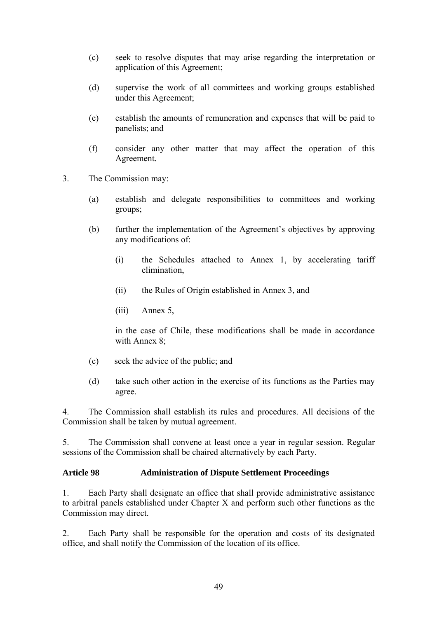- (c) seek to resolve disputes that may arise regarding the interpretation or application of this Agreement;
- (d) supervise the work of all committees and working groups established under this Agreement;
- (e) establish the amounts of remuneration and expenses that will be paid to panelists; and
- (f) consider any other matter that may affect the operation of this Agreement.
- 3. The Commission may:
	- (a) establish and delegate responsibilities to committees and working groups;
	- (b) further the implementation of the Agreement's objectives by approving any modifications of:
		- (i) the Schedules attached to Annex 1, by accelerating tariff elimination,
		- (ii) the Rules of Origin established in Annex 3, and
		- (iii) Annex 5,

in the case of Chile, these modifications shall be made in accordance with Annex 8;

- (c) seek the advice of the public; and
- (d) take such other action in the exercise of its functions as the Parties may agree.

4. The Commission shall establish its rules and procedures. All decisions of the Commission shall be taken by mutual agreement.

5. The Commission shall convene at least once a year in regular session. Regular sessions of the Commission shall be chaired alternatively by each Party.

#### **Article 98 Administration of Dispute Settlement Proceedings**

1. Each Party shall designate an office that shall provide administrative assistance to arbitral panels established under Chapter X and perform such other functions as the Commission may direct.

2. Each Party shall be responsible for the operation and costs of its designated office, and shall notify the Commission of the location of its office.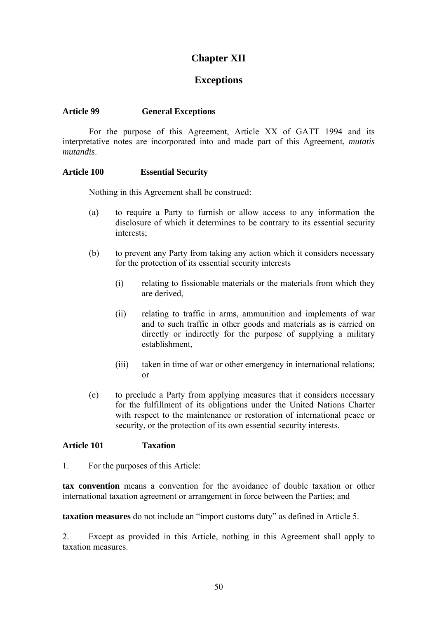## **Chapter XII**

### **Exceptions**

#### **Article 99 General Exceptions**

For the purpose of this Agreement, Article XX of GATT 1994 and its interpretative notes are incorporated into and made part of this Agreement, *mutatis mutandis*.

#### **Article 100 Essential Security**

Nothing in this Agreement shall be construed:

- (a) to require a Party to furnish or allow access to any information the disclosure of which it determines to be contrary to its essential security interests:
- (b) to prevent any Party from taking any action which it considers necessary for the protection of its essential security interests
	- (i) relating to fissionable materials or the materials from which they are derived,
	- (ii) relating to traffic in arms, ammunition and implements of war and to such traffic in other goods and materials as is carried on directly or indirectly for the purpose of supplying a military establishment,
	- (iii) taken in time of war or other emergency in international relations; or
- (c) to preclude a Party from applying measures that it considers necessary for the fulfillment of its obligations under the United Nations Charter with respect to the maintenance or restoration of international peace or security, or the protection of its own essential security interests.

#### **Article 101 Taxation**

1. For the purposes of this Article:

**tax convention** means a convention for the avoidance of double taxation or other international taxation agreement or arrangement in force between the Parties; and

**taxation measures** do not include an "import customs duty" as defined in Article 5.

2. Except as provided in this Article, nothing in this Agreement shall apply to taxation measures.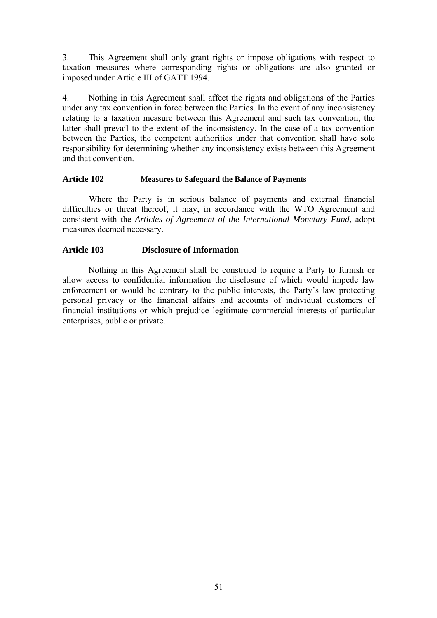3. This Agreement shall only grant rights or impose obligations with respect to taxation measures where corresponding rights or obligations are also granted or imposed under Article III of GATT 1994.

4. Nothing in this Agreement shall affect the rights and obligations of the Parties under any tax convention in force between the Parties. In the event of any inconsistency relating to a taxation measure between this Agreement and such tax convention, the latter shall prevail to the extent of the inconsistency. In the case of a tax convention between the Parties, the competent authorities under that convention shall have sole responsibility for determining whether any inconsistency exists between this Agreement and that convention.

#### **Article 102 Measures to Safeguard the Balance of Payments**

Where the Party is in serious balance of payments and external financial difficulties or threat thereof, it may, in accordance with the WTO Agreement and consistent with the *Articles of Agreement of the International Monetary Fund*, adopt measures deemed necessary.

#### **Article 103 Disclosure of Information**

Nothing in this Agreement shall be construed to require a Party to furnish or allow access to confidential information the disclosure of which would impede law enforcement or would be contrary to the public interests, the Party's law protecting personal privacy or the financial affairs and accounts of individual customers of financial institutions or which prejudice legitimate commercial interests of particular enterprises, public or private.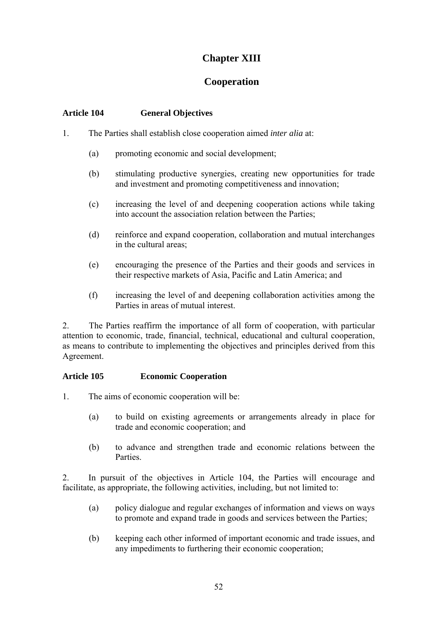## **Chapter XIII**

### **Cooperation**

#### **Article 104 General Objectives**

- 1. The Parties shall establish close cooperation aimed *inter alia* at:
	- (a) promoting economic and social development;
	- (b) stimulating productive synergies, creating new opportunities for trade and investment and promoting competitiveness and innovation;
	- (c) increasing the level of and deepening cooperation actions while taking into account the association relation between the Parties;
	- (d) reinforce and expand cooperation, collaboration and mutual interchanges in the cultural areas;
	- (e) encouraging the presence of the Parties and their goods and services in their respective markets of Asia, Pacific and Latin America; and
	- (f) increasing the level of and deepening collaboration activities among the Parties in areas of mutual interest.

2. The Parties reaffirm the importance of all form of cooperation, with particular attention to economic, trade, financial, technical, educational and cultural cooperation, as means to contribute to implementing the objectives and principles derived from this Agreement.

#### **Article 105 Economic Cooperation**

- 1. The aims of economic cooperation will be:
	- (a) to build on existing agreements or arrangements already in place for trade and economic cooperation; and
	- (b) to advance and strengthen trade and economic relations between the **Parties**

2. In pursuit of the objectives in Article 104, the Parties will encourage and facilitate, as appropriate, the following activities, including, but not limited to:

- (a) policy dialogue and regular exchanges of information and views on ways to promote and expand trade in goods and services between the Parties;
- (b) keeping each other informed of important economic and trade issues, and any impediments to furthering their economic cooperation;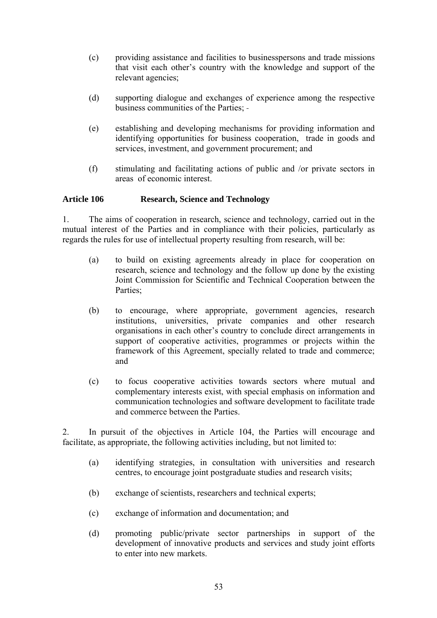- (c) providing assistance and facilities to businesspersons and trade missions that visit each other's country with the knowledge and support of the relevant agencies;
- (d) supporting dialogue and exchanges of experience among the respective business communities of the Parties;
- (e) establishing and developing mechanisms for providing information and identifying opportunities for business cooperation, trade in goods and services, investment, and government procurement; and
- (f) stimulating and facilitating actions of public and /or private sectors in areas of economic interest.

#### **Article 106 Research, Science and Technology**

1. The aims of cooperation in research, science and technology, carried out in the mutual interest of the Parties and in compliance with their policies, particularly as regards the rules for use of intellectual property resulting from research, will be:

- (a) to build on existing agreements already in place for cooperation on research, science and technology and the follow up done by the existing Joint Commission for Scientific and Technical Cooperation between the Parties;
- (b) to encourage, where appropriate, government agencies, research institutions, universities, private companies and other research organisations in each other's country to conclude direct arrangements in support of cooperative activities, programmes or projects within the framework of this Agreement, specially related to trade and commerce; and
- (c) to focus cooperative activities towards sectors where mutual and complementary interests exist, with special emphasis on information and communication technologies and software development to facilitate trade and commerce between the Parties.

2. In pursuit of the objectives in Article 104, the Parties will encourage and facilitate, as appropriate, the following activities including, but not limited to:

- (a) identifying strategies, in consultation with universities and research centres, to encourage joint postgraduate studies and research visits;
- (b) exchange of scientists, researchers and technical experts;
- (c) exchange of information and documentation; and
- (d) promoting public/private sector partnerships in support of the development of innovative products and services and study joint efforts to enter into new markets.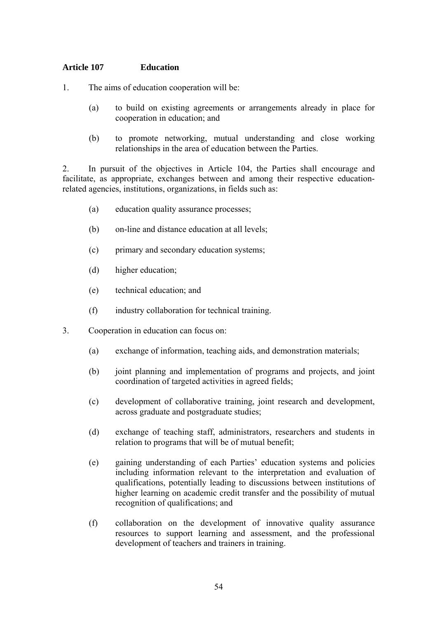#### **Article 107 Education**

- 1. The aims of education cooperation will be:
	- (a) to build on existing agreements or arrangements already in place for cooperation in education; and
	- (b) to promote networking, mutual understanding and close working relationships in the area of education between the Parties.

2. In pursuit of the objectives in Article 104, the Parties shall encourage and facilitate, as appropriate, exchanges between and among their respective educationrelated agencies, institutions, organizations, in fields such as:

- (a) education quality assurance processes;
- (b) on-line and distance education at all levels;
- (c) primary and secondary education systems;
- (d) higher education;
- (e) technical education; and
- (f) industry collaboration for technical training.
- 3. Cooperation in education can focus on:
	- (a) exchange of information, teaching aids, and demonstration materials;
	- (b) joint planning and implementation of programs and projects, and joint coordination of targeted activities in agreed fields;
	- (c) development of collaborative training, joint research and development, across graduate and postgraduate studies;
	- (d) exchange of teaching staff, administrators, researchers and students in relation to programs that will be of mutual benefit;
	- (e) gaining understanding of each Parties' education systems and policies including information relevant to the interpretation and evaluation of qualifications, potentially leading to discussions between institutions of higher learning on academic credit transfer and the possibility of mutual recognition of qualifications; and
	- (f) collaboration on the development of innovative quality assurance resources to support learning and assessment, and the professional development of teachers and trainers in training.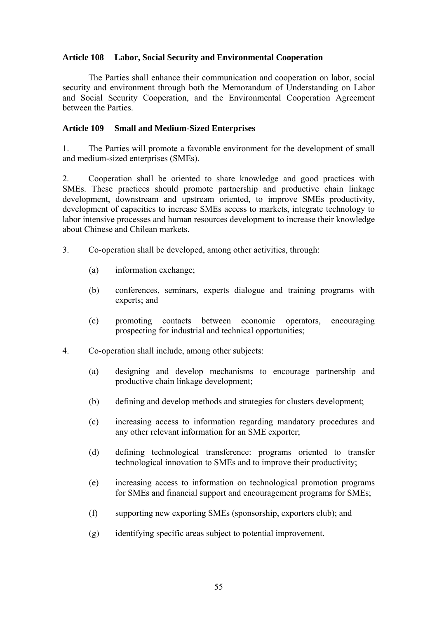#### **Article 108 Labor, Social Security and Environmental Cooperation**

The Parties shall enhance their communication and cooperation on labor, social security and environment through both the Memorandum of Understanding on Labor and Social Security Cooperation, and the Environmental Cooperation Agreement between the Parties.

#### **Article 109 Small and Medium-Sized Enterprises**

1. The Parties will promote a favorable environment for the development of small and medium-sized enterprises (SMEs).

2. Cooperation shall be oriented to share knowledge and good practices with SMEs. These practices should promote partnership and productive chain linkage development, downstream and upstream oriented, to improve SMEs productivity, development of capacities to increase SMEs access to markets, integrate technology to labor intensive processes and human resources development to increase their knowledge about Chinese and Chilean markets.

- 3. Co-operation shall be developed, among other activities, through:
	- (a) information exchange;
	- (b) conferences, seminars, experts dialogue and training programs with experts; and
	- (c) promoting contacts between economic operators, encouraging prospecting for industrial and technical opportunities;
- 4. Co-operation shall include, among other subjects:
	- (a) designing and develop mechanisms to encourage partnership and productive chain linkage development;
	- (b) defining and develop methods and strategies for clusters development;
	- (c) increasing access to information regarding mandatory procedures and any other relevant information for an SME exporter;
	- (d) defining technological transference: programs oriented to transfer technological innovation to SMEs and to improve their productivity;
	- (e) increasing access to information on technological promotion programs for SMEs and financial support and encouragement programs for SMEs;
	- (f) supporting new exporting SMEs (sponsorship, exporters club); and
	- (g) identifying specific areas subject to potential improvement.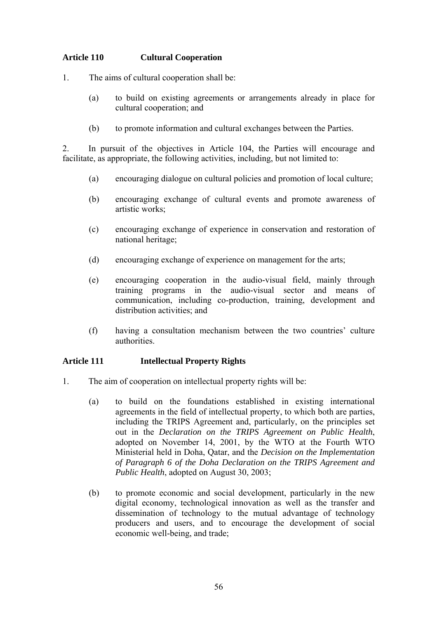#### **Article 110 Cultural Cooperation**

- 1. The aims of cultural cooperation shall be:
	- (a) to build on existing agreements or arrangements already in place for cultural cooperation; and
	- (b) to promote information and cultural exchanges between the Parties.

2. In pursuit of the objectives in Article 104, the Parties will encourage and facilitate, as appropriate, the following activities, including, but not limited to:

- (a) encouraging dialogue on cultural policies and promotion of local culture;
- (b) encouraging exchange of cultural events and promote awareness of artistic works;
- (c) encouraging exchange of experience in conservation and restoration of national heritage;
- (d) encouraging exchange of experience on management for the arts;
- (e) encouraging cooperation in the audio-visual field, mainly through training programs in the audio-visual sector and means of communication, including co-production, training, development and distribution activities; and
- (f) having a consultation mechanism between the two countries' culture authorities.

#### **Article 111 Intellectual Property Rights**

- 1. The aim of cooperation on intellectual property rights will be:
	- (a) to build on the foundations established in existing international agreements in the field of intellectual property, to which both are parties, including the TRIPS Agreement and, particularly, on the principles set out in the *Declaration on the TRIPS Agreement on Public Health*, adopted on November 14, 2001, by the WTO at the Fourth WTO Ministerial held in Doha, Qatar, and the *Decision on the Implementation of Paragraph 6 of the Doha Declaration on the TRIPS Agreement and Public Health*, adopted on August 30, 2003;
	- (b) to promote economic and social development, particularly in the new digital economy, technological innovation as well as the transfer and dissemination of technology to the mutual advantage of technology producers and users, and to encourage the development of social economic well-being, and trade;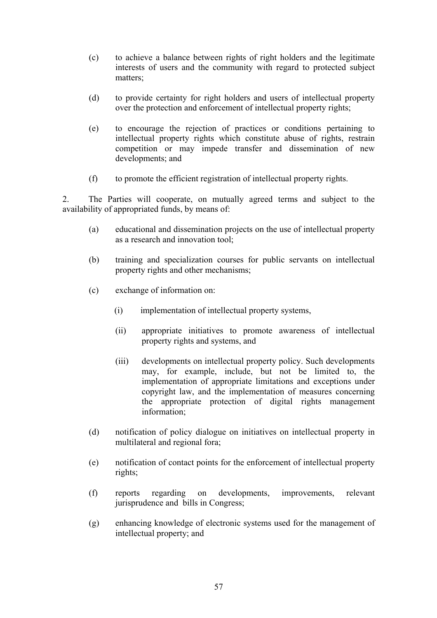- (c) to achieve a balance between rights of right holders and the legitimate interests of users and the community with regard to protected subject matters;
- (d) to provide certainty for right holders and users of intellectual property over the protection and enforcement of intellectual property rights;
- (e) to encourage the rejection of practices or conditions pertaining to intellectual property rights which constitute abuse of rights, restrain competition or may impede transfer and dissemination of new developments; and
- (f) to promote the efficient registration of intellectual property rights.

2. The Parties will cooperate, on mutually agreed terms and subject to the availability of appropriated funds, by means of:

- (a) educational and dissemination projects on the use of intellectual property as a research and innovation tool;
- (b) training and specialization courses for public servants on intellectual property rights and other mechanisms;
- (c) exchange of information on:
	- (i) implementation of intellectual property systems,
	- (ii) appropriate initiatives to promote awareness of intellectual property rights and systems, and
	- (iii) developments on intellectual property policy. Such developments may, for example, include, but not be limited to, the implementation of appropriate limitations and exceptions under copyright law, and the implementation of measures concerning the appropriate protection of digital rights management information;
- (d) notification of policy dialogue on initiatives on intellectual property in multilateral and regional fora;
- (e) notification of contact points for the enforcement of intellectual property rights;
- (f) reports regarding on developments, improvements, relevant jurisprudence and bills in Congress;
- (g) enhancing knowledge of electronic systems used for the management of intellectual property; and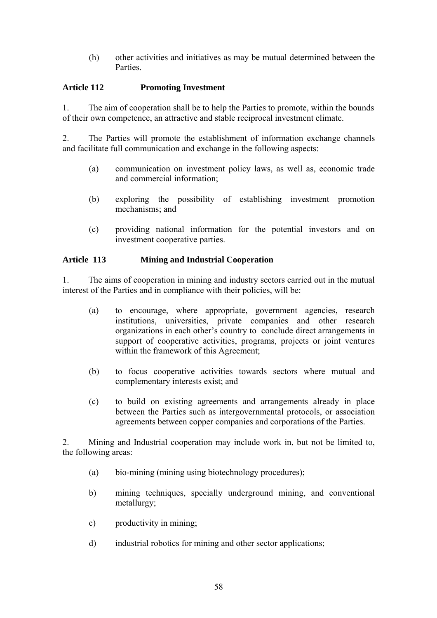(h) other activities and initiatives as may be mutual determined between the **Parties** 

#### **Article 112 Promoting Investment**

1. The aim of cooperation shall be to help the Parties to promote, within the bounds of their own competence, an attractive and stable reciprocal investment climate.

2. The Parties will promote the establishment of information exchange channels and facilitate full communication and exchange in the following aspects:

- (a) communication on investment policy laws, as well as, economic trade and commercial information;
- (b) exploring the possibility of establishing investment promotion mechanisms; and
- (c) providing national information for the potential investors and on investment cooperative parties.

#### **Article 113 Mining and Industrial Cooperation**

1. The aims of cooperation in mining and industry sectors carried out in the mutual interest of the Parties and in compliance with their policies, will be:

- (a) to encourage, where appropriate, government agencies, research institutions, universities, private companies and other research organizations in each other's country to conclude direct arrangements in support of cooperative activities, programs, projects or joint ventures within the framework of this Agreement;
- (b) to focus cooperative activities towards sectors where mutual and complementary interests exist; and
- (c) to build on existing agreements and arrangements already in place between the Parties such as intergovernmental protocols, or association agreements between copper companies and corporations of the Parties.

2. Mining and Industrial cooperation may include work in, but not be limited to, the following areas:

- (a) bio-mining (mining using biotechnology procedures);
- b) mining techniques, specially underground mining, and conventional metallurgy;
- c) productivity in mining;
- d) industrial robotics for mining and other sector applications;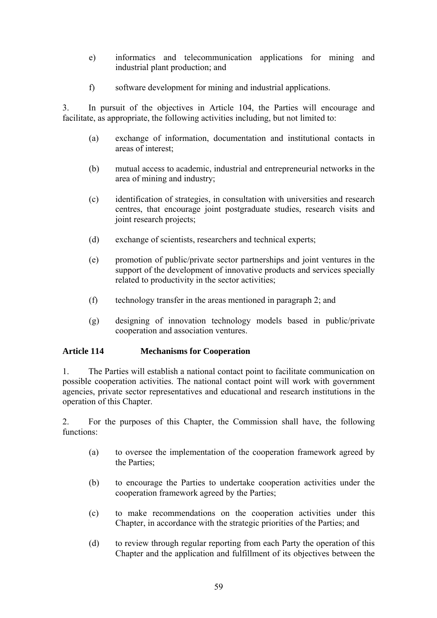- e) informatics and telecommunication applications for mining and industrial plant production; and
- f) software development for mining and industrial applications.

3. In pursuit of the objectives in Article 104, the Parties will encourage and facilitate, as appropriate, the following activities including, but not limited to:

- (a) exchange of information, documentation and institutional contacts in areas of interest;
- (b) mutual access to academic, industrial and entrepreneurial networks in the area of mining and industry;
- (c) identification of strategies, in consultation with universities and research centres, that encourage joint postgraduate studies, research visits and joint research projects;
- (d) exchange of scientists, researchers and technical experts;
- (e) promotion of public/private sector partnerships and joint ventures in the support of the development of innovative products and services specially related to productivity in the sector activities;
- (f) technology transfer in the areas mentioned in paragraph 2; and
- (g) designing of innovation technology models based in public/private cooperation and association ventures.

#### **Article 114 Mechanisms for Cooperation**

1. The Parties will establish a national contact point to facilitate communication on possible cooperation activities. The national contact point will work with government agencies, private sector representatives and educational and research institutions in the operation of this Chapter.

2. For the purposes of this Chapter, the Commission shall have, the following functions:

- (a) to oversee the implementation of the cooperation framework agreed by the Parties:
- (b) to encourage the Parties to undertake cooperation activities under the cooperation framework agreed by the Parties;
- (c) to make recommendations on the cooperation activities under this Chapter, in accordance with the strategic priorities of the Parties; and
- (d) to review through regular reporting from each Party the operation of this Chapter and the application and fulfillment of its objectives between the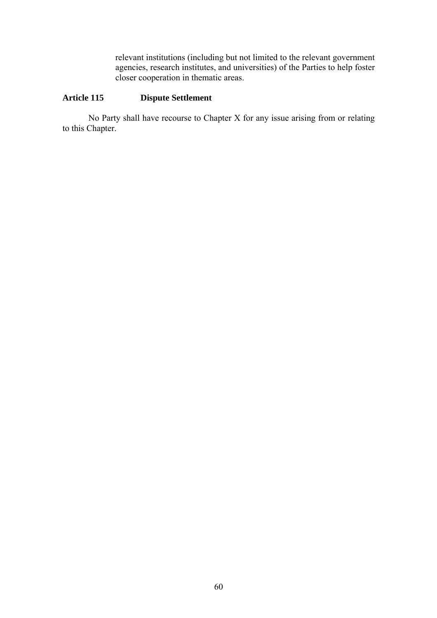relevant institutions (including but not limited to the relevant government agencies, research institutes, and universities) of the Parties to help foster closer cooperation in thematic areas.

#### **Article 115 Dispute Settlement**

No Party shall have recourse to Chapter X for any issue arising from or relating to this Chapter.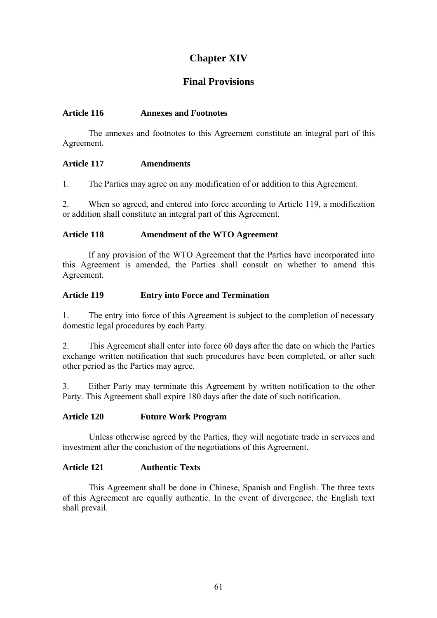## **Chapter XIV**

### **Final Provisions**

#### **Article 116 Annexes and Footnotes**

The annexes and footnotes to this Agreement constitute an integral part of this Agreement.

#### **Article 117 Amendments**

1. The Parties may agree on any modification of or addition to this Agreement.

2. When so agreed, and entered into force according to Article 119, a modification or addition shall constitute an integral part of this Agreement.

#### **Article 118 Amendment of the WTO Agreement**

If any provision of the WTO Agreement that the Parties have incorporated into this Agreement is amended, the Parties shall consult on whether to amend this Agreement.

#### **Article 119 Entry into Force and Termination**

1. The entry into force of this Agreement is subject to the completion of necessary domestic legal procedures by each Party.

2. This Agreement shall enter into force 60 days after the date on which the Parties exchange written notification that such procedures have been completed, or after such other period as the Parties may agree.

3. Either Party may terminate this Agreement by written notification to the other Party. This Agreement shall expire 180 days after the date of such notification.

#### **Article 120 Future Work Program**

Unless otherwise agreed by the Parties, they will negotiate trade in services and investment after the conclusion of the negotiations of this Agreement.

#### **Article 121 Authentic Texts**

This Agreement shall be done in Chinese, Spanish and English. The three texts of this Agreement are equally authentic. In the event of divergence, the English text shall prevail.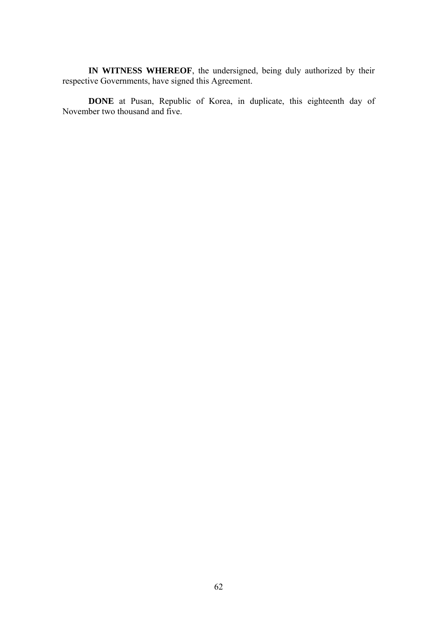**IN WITNESS WHEREOF**, the undersigned, being duly authorized by their respective Governments, have signed this Agreement.

**DONE** at Pusan, Republic of Korea, in duplicate, this eighteenth day of November two thousand and five.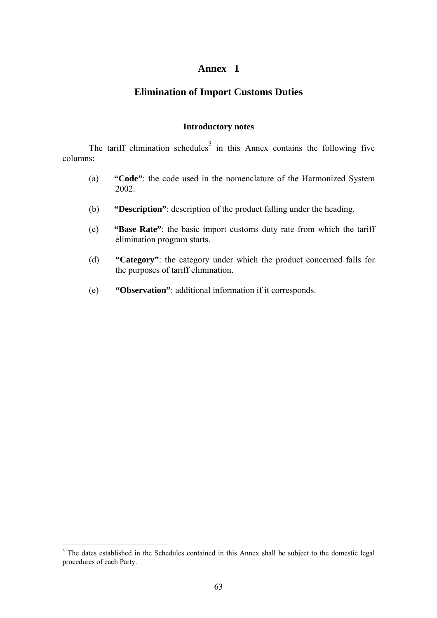#### **Annex 1**

#### **Elimination of Import Customs Duties**

#### **Introductory notes**

The tariff elimination schedules<sup>[5](#page-62-0)</sup> in this Annex contains the following five columns:

- (a) **"Code"**: the code used in the nomenclature of the Harmonized System 2002.
- (b) **"Description"**: description of the product falling under the heading.
- (c) **"Base Rate"**: the basic import customs duty rate from which the tariff elimination program starts.
- (d) **"Category"**: the category under which the product concerned falls for the purposes of tariff elimination.
- (e) **"Observation"**: additional information if it corresponds.

 $\overline{a}$ 

<span id="page-62-0"></span><sup>&</sup>lt;sup>5</sup> The dates established in the Schedules contained in this Annex shall be subject to the domestic legal procedures of each Party.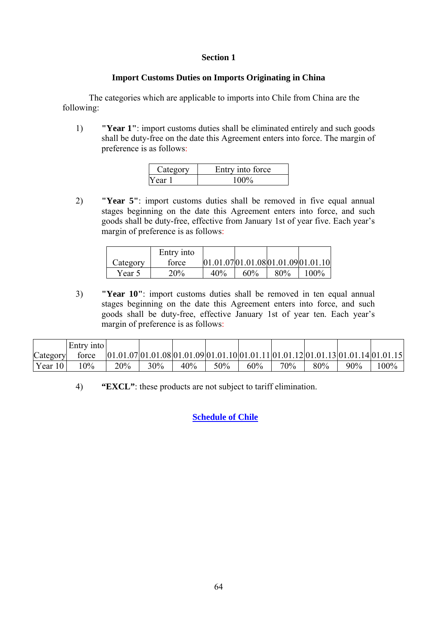#### **Section 1**

#### **Import Customs Duties on Imports Originating in China**

The categories which are applicable to imports into Chile from China are the following:

1) **"Year 1"**: import customs duties shall be eliminated entirely and such goods shall be duty-free on the date this Agreement enters into force. The margin of preference is as follows:

| Category | Entry into force |
|----------|------------------|
| Year 1   |                  |

2) **"Year 5"**: import customs duties shall be removed in five equal annual stages beginning on the date this Agreement enters into force, and such goods shall be duty-free, effective from January 1st of year five. Each year's margin of preference is as follows:

|          | Entry into |     |     |     |                                      |
|----------|------------|-----|-----|-----|--------------------------------------|
| Category | force      |     |     |     | [01.01.07]01.01.08]01.01.09]01.01.10 |
| Year 5   | 20%        | 40% | 60% | 80% | $100\%$                              |

3) **"Year 10"**: import customs duties shall be removed in ten equal annual stages beginning on the date this Agreement enters into force, and such goods shall be duty-free, effective January 1st of year ten. Each year's margin of preference is as follows:

|          | Entry into |     |                                                                                     |     |     |     |     |     |     |      |
|----------|------------|-----|-------------------------------------------------------------------------------------|-----|-----|-----|-----|-----|-----|------|
| Category | force      |     | $[01.01.07]01.01.08]01.01.09]01.01.10]01.01.11]01.01.12]01.01.13]01.01.14]01.01.15$ |     |     |     |     |     |     |      |
| Year 10  | 10%        | 20% | 30%                                                                                 | 40% | 50% | 60% | 70% | 80% | 90% | 100% |

4) **"EXCL"**: these products are not subject to tariff elimination.

**[Schedule of Chile](http://www.direcon.cl/pdf/CHILES_OFFER_TO_CHINA.xls)**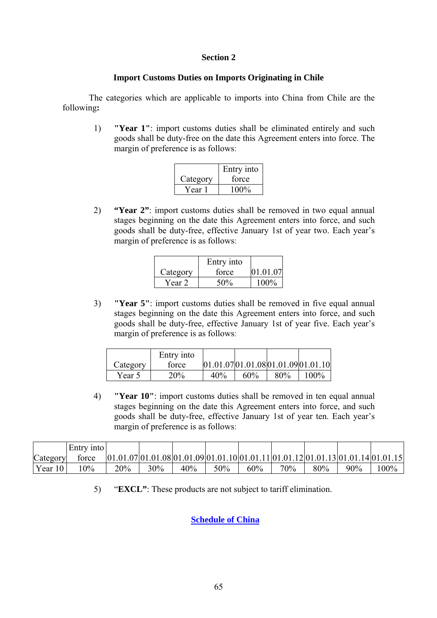#### **Section 2**

#### **Import Customs Duties on Imports Originating in Chile**

The categories which are applicable to imports into China from Chile are the following**:** 

1) **"Year 1"**: import customs duties shall be eliminated entirely and such goods shall be duty-free on the date this Agreement enters into force. The margin of preference is as follows:

|          | Entry into |
|----------|------------|
| Category | force      |
| Year 1   | $100\%$    |

2) **"Year 2"**: import customs duties shall be removed in two equal annual stages beginning on the date this Agreement enters into force, and such goods shall be duty-free, effective January 1st of year two. Each year's margin of preference is as follows:

|          | Entry into |          |
|----------|------------|----------|
| Category | force      | 01.01.07 |
| Year 2   | 50%        | $100\%$  |

3) **"Year 5"**: import customs duties shall be removed in five equal annual stages beginning on the date this Agreement enters into force, and such goods shall be duty-free, effective January 1st of year five. Each year's margin of preference is as follows:

|          | Entry into |     |        |     |                                      |
|----------|------------|-----|--------|-----|--------------------------------------|
| Category | force      |     |        |     | [01.01.07]01.01.08]01.01.09]01.01.10 |
| Year 5   | 20%        | 40% | $60\%$ | 80% | $100\%$                              |

4) **"Year 10"**: import customs duties shall be removed in ten equal annual stages beginning on the date this Agreement enters into force, and such goods shall be duty-free, effective January 1st of year ten. Each year's margin of preference is as follows:

|            | Entry into |     |     |     |     |     |        |     |        |                                                                                      |
|------------|------------|-----|-----|-----|-----|-----|--------|-----|--------|--------------------------------------------------------------------------------------|
| Category   | force      |     |     |     |     |     |        |     |        | $[01.01.07]01.01.08]01.01.09]01.01.10]01.01.11]01.01.12]01.01.13]01.01.14]01.01.15]$ |
| Year $101$ | 10%        | 20% | 30% | 40% | 50% | 60% | $70\%$ | 80% | $90\%$ | $100\%$                                                                              |

5) "**EXCL"**: These products are not subject to tariff elimination.

#### **[Schedule of China](http://www.direcon.cl/pdf/china)**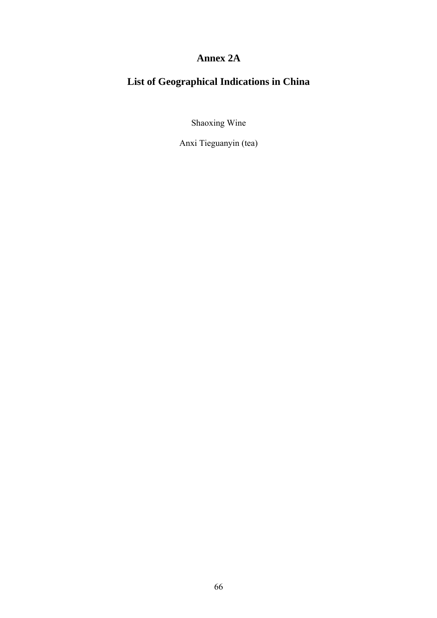## **Annex 2A**

# **List of Geographical Indications in China**

Shaoxing Wine

Anxi Tieguanyin (tea)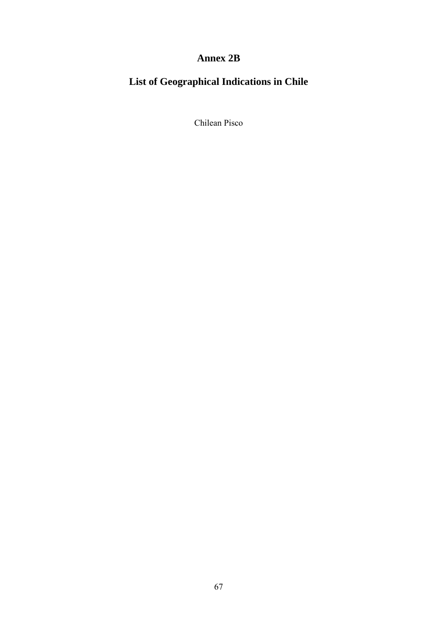## **Annex 2B**

# **List of Geographical Indications in Chile**

Chilean Pisco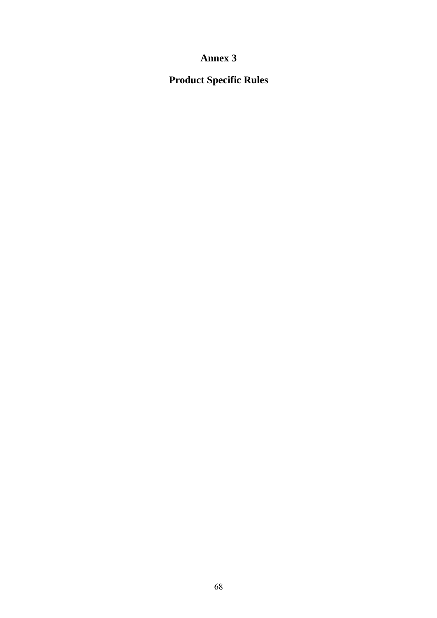## **Annex 3**

**Product Specific Rules**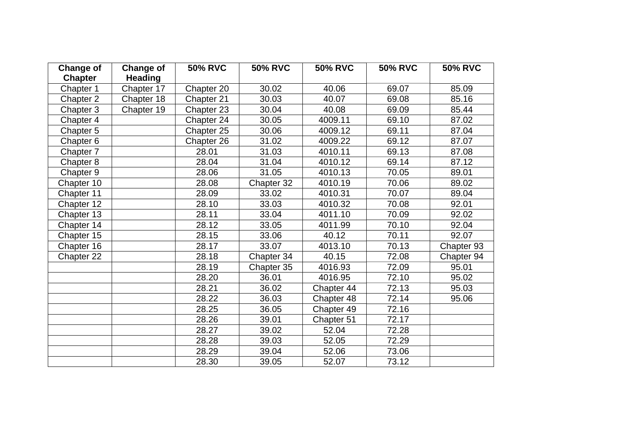| <b>Change of</b><br><b>Chapter</b> | <b>Change of</b><br><b>Heading</b> | <b>50% RVC</b> | <b>50% RVC</b> | <b>50% RVC</b> | <b>50% RVC</b> | <b>50% RVC</b> |
|------------------------------------|------------------------------------|----------------|----------------|----------------|----------------|----------------|
| Chapter 1                          | Chapter 17                         | Chapter 20     | 30.02          | 40.06          | 69.07          | 85.09          |
| Chapter 2                          | Chapter 18                         | Chapter 21     | 30.03          | 40.07          | 69.08          | 85.16          |
| Chapter 3                          | Chapter 19                         | Chapter 23     | 30.04          | 40.08          | 69.09          | 85.44          |
| Chapter 4                          |                                    | Chapter 24     | 30.05          | 4009.11        | 69.10          | 87.02          |
| Chapter 5                          |                                    | Chapter 25     | 30.06          | 4009.12        | 69.11          | 87.04          |
| Chapter 6                          |                                    | Chapter 26     | 31.02          | 4009.22        | 69.12          | 87.07          |
| Chapter 7                          |                                    | 28.01          | 31.03          | 4010.11        | 69.13          | 87.08          |
| Chapter 8                          |                                    | 28.04          | 31.04          | 4010.12        | 69.14          | 87.12          |
| Chapter 9                          |                                    | 28.06          | 31.05          | 4010.13        | 70.05          | 89.01          |
| Chapter 10                         |                                    | 28.08          | Chapter 32     | 4010.19        | 70.06          | 89.02          |
| Chapter 11                         |                                    | 28.09          | 33.02          | 4010.31        | 70.07          | 89.04          |
| Chapter 12                         |                                    | 28.10          | 33.03          | 4010.32        | 70.08          | 92.01          |
| Chapter 13                         |                                    | 28.11          | 33.04          | 4011.10        | 70.09          | 92.02          |
| Chapter 14                         |                                    | 28.12          | 33.05          | 4011.99        | 70.10          | 92.04          |
| Chapter 15                         |                                    | 28.15          | 33.06          | 40.12          | 70.11          | 92.07          |
| Chapter 16                         |                                    | 28.17          | 33.07          | 4013.10        | 70.13          | Chapter 93     |
| Chapter 22                         |                                    | 28.18          | Chapter 34     | 40.15          | 72.08          | Chapter 94     |
|                                    |                                    | 28.19          | Chapter 35     | 4016.93        | 72.09          | 95.01          |
|                                    |                                    | 28.20          | 36.01          | 4016.95        | 72.10          | 95.02          |
|                                    |                                    | 28.21          | 36.02          | Chapter 44     | 72.13          | 95.03          |
|                                    |                                    | 28.22          | 36.03          | Chapter 48     | 72.14          | 95.06          |
|                                    |                                    | 28.25          | 36.05          | Chapter 49     | 72.16          |                |
|                                    |                                    | 28.26          | 39.01          | Chapter 51     | 72.17          |                |
|                                    |                                    | 28.27          | 39.02          | 52.04          | 72.28          |                |
|                                    |                                    | 28.28          | 39.03          | 52.05          | 72.29          |                |
|                                    |                                    | 28.29          | 39.04          | 52.06          | 73.06          |                |
|                                    |                                    | 28.30          | 39.05          | 52.07          | 73.12          |                |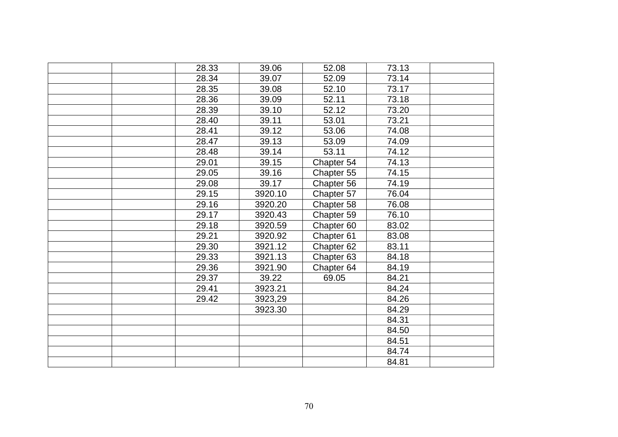| 28.33 | 39.06   | 52.08                 | 73.13 |  |
|-------|---------|-----------------------|-------|--|
| 28.34 | 39.07   | 52.09                 | 73.14 |  |
| 28.35 | 39.08   | 52.10                 | 73.17 |  |
| 28.36 | 39.09   | 52.11                 | 73.18 |  |
| 28.39 | 39.10   | 52.12                 | 73.20 |  |
| 28.40 | 39.11   | 53.01                 | 73.21 |  |
| 28.41 | 39.12   | 53.06                 | 74.08 |  |
| 28.47 | 39.13   | 53.09                 | 74.09 |  |
| 28.48 | 39.14   | 53.11                 | 74.12 |  |
| 29.01 | 39.15   | Chapter 54            | 74.13 |  |
| 29.05 | 39.16   | Chapter 55            | 74.15 |  |
| 29.08 | 39.17   | Chapter 56            | 74.19 |  |
| 29.15 | 3920.10 | Chapter 57            | 76.04 |  |
| 29.16 | 3920.20 | Chapter 58            | 76.08 |  |
| 29.17 | 3920.43 | Chapter 59            | 76.10 |  |
| 29.18 | 3920.59 | Chapter 60            | 83.02 |  |
| 29.21 | 3920.92 | Chapter 61            | 83.08 |  |
| 29.30 | 3921.12 | Chapter <sub>62</sub> | 83.11 |  |
| 29.33 | 3921.13 | Chapter 63            | 84.18 |  |
| 29.36 | 3921.90 | Chapter 64            | 84.19 |  |
| 29.37 | 39.22   | 69.05                 | 84.21 |  |
| 29.41 | 3923.21 |                       | 84.24 |  |
| 29.42 | 3923,29 |                       | 84.26 |  |
|       | 3923.30 |                       | 84.29 |  |
|       |         |                       | 84.31 |  |
|       |         |                       | 84.50 |  |
|       |         |                       | 84.51 |  |
|       |         |                       | 84.74 |  |
|       |         |                       | 84.81 |  |
|       |         |                       |       |  |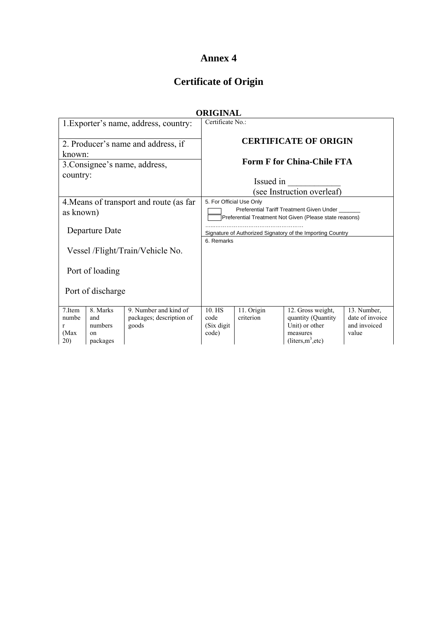## **Annex 4**

# **Certificate of Origin**

|                                                      |                                                         |                                                            | <b>ORIGINAL</b>                                            |                                                                                                                                  |                                                                                              |                                                         |  |  |
|------------------------------------------------------|---------------------------------------------------------|------------------------------------------------------------|------------------------------------------------------------|----------------------------------------------------------------------------------------------------------------------------------|----------------------------------------------------------------------------------------------|---------------------------------------------------------|--|--|
|                                                      |                                                         | 1. Exporter's name, address, country:                      | Certificate No.:                                           |                                                                                                                                  |                                                                                              |                                                         |  |  |
| known <sup>-</sup>                                   |                                                         | 2. Producer's name and address, if                         |                                                            |                                                                                                                                  | <b>CERTIFICATE OF ORIGIN</b>                                                                 |                                                         |  |  |
|                                                      |                                                         | 3. Consignee's name, address,                              |                                                            |                                                                                                                                  | <b>Form F for China-Chile FTA</b>                                                            |                                                         |  |  |
| country:                                             |                                                         |                                                            | Issued in<br>(see Instruction overleaf)                    |                                                                                                                                  |                                                                                              |                                                         |  |  |
| 4. Means of transport and route (as far<br>as known) |                                                         |                                                            |                                                            | 5. For Official Use Only<br>Preferential Tariff Treatment Given Under<br>Preferential Treatment Not Given (Please state reasons) |                                                                                              |                                                         |  |  |
|                                                      | Departure Date                                          |                                                            | Signature of Authorized Signatory of the Importing Country |                                                                                                                                  |                                                                                              |                                                         |  |  |
| Vessel /Flight/Train/Vehicle No.                     |                                                         |                                                            | 6. Remarks                                                 |                                                                                                                                  |                                                                                              |                                                         |  |  |
| Port of loading                                      |                                                         |                                                            |                                                            |                                                                                                                                  |                                                                                              |                                                         |  |  |
| Port of discharge                                    |                                                         |                                                            |                                                            |                                                                                                                                  |                                                                                              |                                                         |  |  |
| 7.Item<br>numbe<br>r<br>(Max<br>20)                  | 8. Marks<br>and<br>numbers<br><sub>on</sub><br>packages | 9. Number and kind of<br>packages; description of<br>goods | 10. HS<br>code<br>(Six digit)<br>code)                     | 11. Origin<br>criterion                                                                                                          | 12. Gross weight,<br>quantity (Quantity)<br>Unit) or other<br>measures<br>$(liters,m^3,etc)$ | 13. Number,<br>date of invoice<br>and invoiced<br>value |  |  |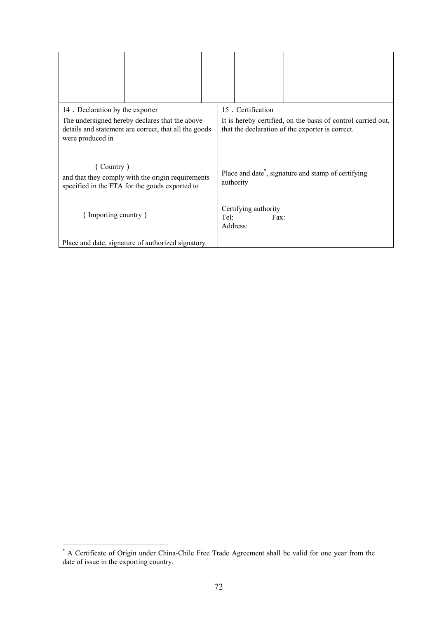| 14. Declaration by the exporter                                                                                             | 15. Certification                                                                                                |
|-----------------------------------------------------------------------------------------------------------------------------|------------------------------------------------------------------------------------------------------------------|
| The undersigned hereby declares that the above<br>details and statement are correct, that all the goods<br>were produced in | It is hereby certified, on the basis of control carried out,<br>that the declaration of the exporter is correct. |
| (Country)<br>and that they comply with the origin requirements<br>specified in the FTA for the goods exported to            | Place and date <sup>*</sup> , signature and stamp of certifying<br>authority                                     |
| Importing country)                                                                                                          | Certifying authority<br>Tel:<br>Fax:<br>Address:                                                                 |
| Place and date, signature of authorized signatory                                                                           |                                                                                                                  |

<span id="page-71-0"></span><sup>\*</sup> A Certificate of Origin under China-Chile Free Trade Agreement shall be valid for one year from the date of issue in the exporting country.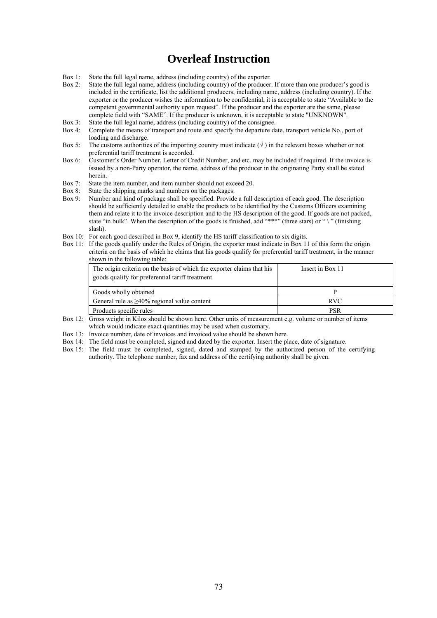# **Overleaf Instruction**

- Box 1: State the full legal name, address (including country) of the exporter.
- Box 2: State the full legal name, address (including country) of the producer. If more than one producer's good is included in the certificate, list the additional producers, including name, address (including country). If the exporter or the producer wishes the information to be confidential, it is acceptable to state "Available to the competent governmental authority upon request". If the producer and the exporter are the same, please complete field with "SAME". If the producer is unknown, it is acceptable to state "UNKNOWN".
- Box 3: State the full legal name, address (including country) of the consignee.
- Box 4: Complete the means of transport and route and specify the departure date, transport vehicle No., port of loading and discharge.
- Box 5: The customs authorities of the importing country must indicate  $(\sqrt{})$  in the relevant boxes whether or not preferential tariff treatment is accorded.
- Box 6: Customer's Order Number, Letter of Credit Number, and etc. may be included if required. If the invoice is issued by a non-Party operator, the name, address of the producer in the originating Party shall be stated herein.
- Box 7: State the item number, and item number should not exceed 20.
- Box 8: State the shipping marks and numbers on the packages.<br>Box 9: Number and kind of package shall be specified. Provid
- Box 9: Number and kind of package shall be specified. Provide a full description of each good. The description should be sufficiently detailed to enable the products to be identified by the Customs Officers examining them and relate it to the invoice description and to the HS description of the good. If goods are not packed, state "in bulk". When the description of the goods is finished, add "\*\*\*" (three stars) or " \" (finishing slash).
- Box 10: For each good described in Box 9, identify the HS tariff classification to six digits.
- Box 11: If the goods qualify under the Rules of Origin, the exporter must indicate in Box 11 of this form the origin criteria on the basis of which he claims that his goods qualify for preferential tariff treatment, in the manner shown in the following table:

| The origin criteria on the basis of which the exporter claims that his<br>goods qualify for preferential tariff treatment | Insert in Box 11 |
|---------------------------------------------------------------------------------------------------------------------------|------------------|
| Goods wholly obtained                                                                                                     | D                |
| General rule as $\geq 40\%$ regional value content                                                                        | <b>RVC</b>       |
| Products specific rules                                                                                                   | PSR              |

- Box 12: Gross weight in Kilos should be shown here. Other units of measurement e.g. volume or number of items which would indicate exact quantities may be used when customary.
- Box 13: Invoice number, date of invoices and invoiced value should be shown here.
- Box 14: The field must be completed, signed and dated by the exporter. Insert the place, date of signature.
- Box 15: The field must be completed, signed, dated and stamped by the authorized person of the certifying authority. The telephone number, fax and address of the certifying authority shall be given.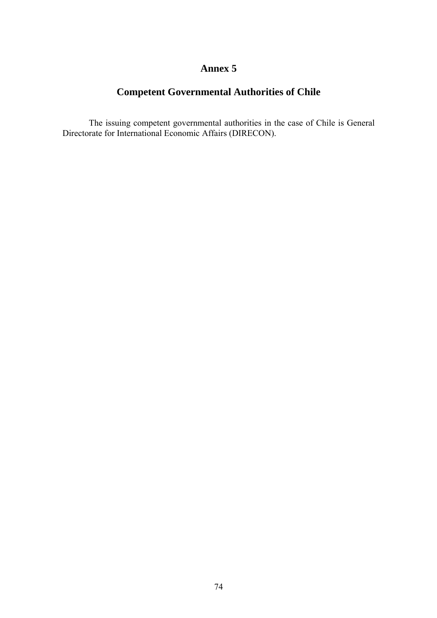# **Competent Governmental Authorities of Chile**

The issuing competent governmental authorities in the case of Chile is General Directorate for International Economic Affairs (DIRECON).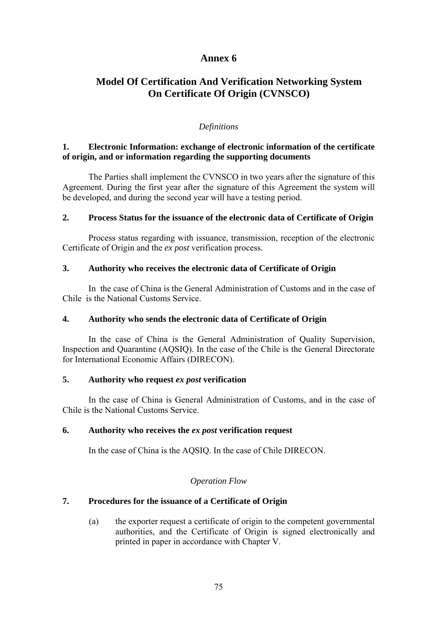# **Model Of Certification And Verification Networking System On Certificate Of Origin (CVNSCO)**

#### *Definitions*

#### **1. Electronic Information: exchange of electronic information of the certificate of origin, and or information regarding the supporting documents**

The Parties shall implement the CVNSCO in two years after the signature of this Agreement. During the first year after the signature of this Agreement the system will be developed, and during the second year will have a testing period.

#### **2. Process Status for the issuance of the electronic data of Certificate of Origin**

Process status regarding with issuance, transmission, reception of the electronic Certificate of Origin and the *ex post* verification process.

#### **3. Authority who receives the electronic data of Certificate of Origin**

In the case of China is the General Administration of Customs and in the case of Chile is the National Customs Service.

#### **4. Authority who sends the electronic data of Certificate of Origin**

In the case of China is the General Administration of Quality Supervision, Inspection and Quarantine (AQSIQ). In the case of the Chile is the General Directorate for International Economic Affairs (DIRECON).

#### **5. Authority who request** *ex post* **verification**

In the case of China is General Administration of Customs, and in the case of Chile is the National Customs Service.

#### **6. Authority who receives the** *ex post* **verification request**

In the case of China is the AQSIQ. In the case of Chile DIRECON.

#### *Operation Flow*

### **7. Procedures for the issuance of a Certificate of Origin**

(a) the exporter request a certificate of origin to the competent governmental authorities, and the Certificate of Origin is signed electronically and printed in paper in accordance with Chapter V.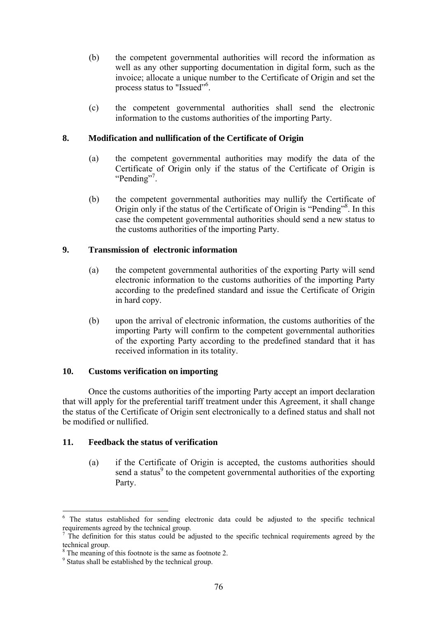- (b) the competent governmental authorities will record the information as well as any other supporting documentation in digital form, such as the invoice; allocate a unique number to the Certificate of Origin and set the process status to "Issued"<sup>[6](#page-75-0)</sup>.
- (c) the competent governmental authorities shall send the electronic information to the customs authorities of the importing Party.

#### **8. Modification and nullification of the Certificate of Origin**

- (a) the competent governmental authorities may modify the data of the Certificate of Origin only if the status of the Certificate of Origin is "Pending"<sup>7</sup>.
- (b) the competent governmental authorities may nullify the Certificate of Origin only if the status of the Certificate of Origin is "Pending"<sup>8</sup>. In this case the competent governmental authorities should send a new status to the customs authorities of the importing Party.

#### **9. Transmission of electronic information**

- (a) the competent governmental authorities of the exporting Party will send electronic information to the customs authorities of the importing Party according to the predefined standard and issue the Certificate of Origin in hard copy.
- (b) upon the arrival of electronic information, the customs authorities of the importing Party will confirm to the competent governmental authorities of the exporting Party according to the predefined standard that it has received information in its totality.

#### **10. Customs verification on importing**

Once the customs authorities of the importing Party accept an import declaration that will apply for the preferential tariff treatment under this Agreement, it shall change the status of the Certificate of Origin sent electronically to a defined status and shall not be modified or nullified.

#### **11. Feedback the status of verification**

(a) if the Certificate of Origin is accepted, the customs authorities should send a status<sup>9</sup> to the competent governmental authorities of the exporting Party.

 $\overline{a}$ 

<span id="page-75-0"></span><sup>6</sup> The status established for sending electronic data could be adjusted to the specific technical requirements agreed by the technical group.

<span id="page-75-1"></span>The definition for this status could be adjusted to the specific technical requirements agreed by the technical group.

<span id="page-75-2"></span> $8<sup>8</sup>$  The meaning of this footnote is the same as footnote 2.

<span id="page-75-3"></span><sup>&</sup>lt;sup>9</sup> Status shall be established by the technical group.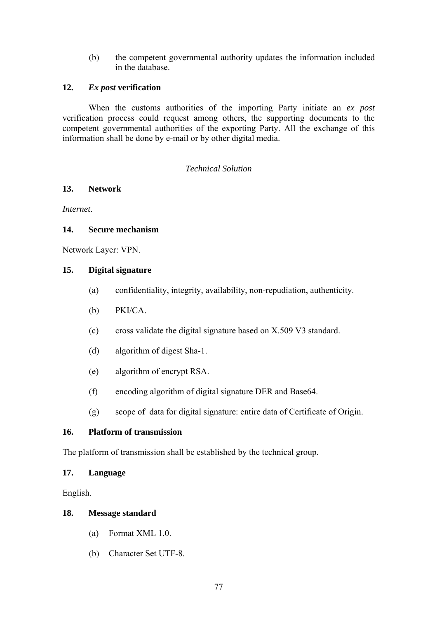(b) the competent governmental authority updates the information included in the database.

#### **12.** *Ex post* **verification**

When the customs authorities of the importing Party initiate an *ex post* verification process could request among others, the supporting documents to the competent governmental authorities of the exporting Party. All the exchange of this information shall be done by e-mail or by other digital media.

#### *Technical Solution*

### **13. Network**

*Internet*.

#### **14. Secure mechanism**

Network Layer: VPN.

#### **15. Digital signature**

- (a) confidentiality, integrity, availability, non-repudiation, authenticity.
- (b) PKI/CA.
- (c) cross validate the digital signature based on X.509 V3 standard.
- (d) algorithm of digest Sha-1.
- (e) algorithm of encrypt RSA.
- (f) encoding algorithm of digital signature DER and Base64.
- (g) scope of data for digital signature: entire data of Certificate of Origin.

# **16. Platform of transmission**

The platform of transmission shall be established by the technical group.

#### **17. Language**

English.

#### **18. Message standard**

- (a) Format XML 1.0.
- (b) Character Set UTF-8.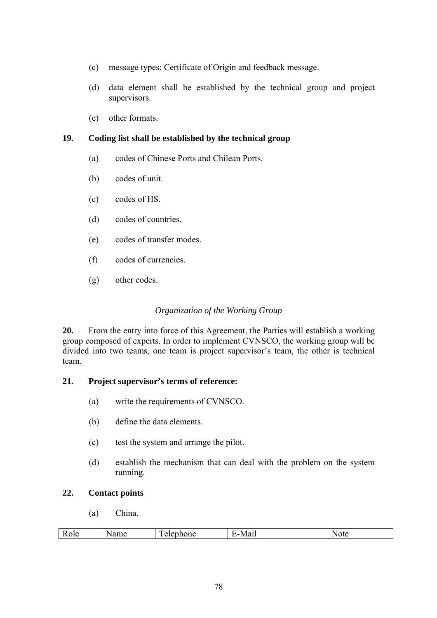- (c) message types: Certificate of Origin and feedback message.
- (d) data element shall be established by the technical group and project supervisors.
- (e) other formats.

# **19. Coding list shall be established by the technical group**

- (a) codes of Chinese Ports and Chilean Ports.
- (b) codes of unit.
- (c) codes of HS.
- (d) codes of countries.
- (e) codes of transfer modes.
- (f) codes of currencies.
- (g) other codes.

## *Organization of the Working Group*

**20.** From the entry into force of this Agreement, the Parties will establish a working group composed of experts. In order to implement CVNSCO, the working group will be divided into two teams, one team is project supervisor's team, the other is technical team.

# **21. Project supervisor's terms of reference:**

- (a) write the requirements of CVNSCO.
- (b) define the data elements.
- (c) test the system and arrange the pilot.
- (d) establish the mechanism that can deal with the problem on the system running.

### **22. Contact points**

(a) China.

| ÷<br>в<br>__ | $\mathbf{r}$<br>____ | 7 L V<br>- - - |
|--------------|----------------------|----------------|
|              |                      |                |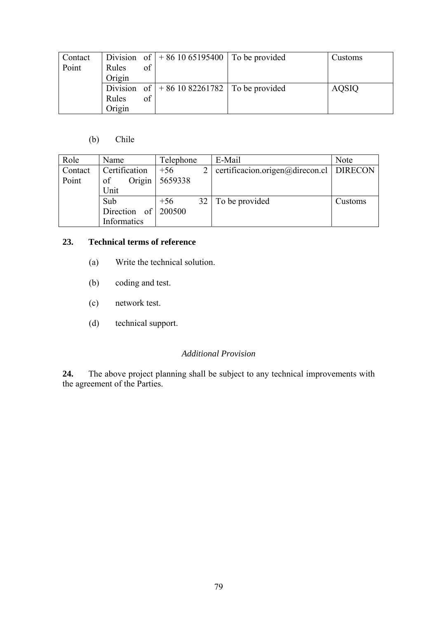| Contact |          |    | Division of $ +861065195400 $ To be provided | Customs      |
|---------|----------|----|----------------------------------------------|--------------|
| Point   | Rules    | of |                                              |              |
|         | Origin   |    |                                              |              |
|         | Division |    | of $ +861082261782 $ To be provided          | <b>AQSIQ</b> |
|         | Rules    | of |                                              |              |
|         | Origin   |    |                                              |              |

# (b) Chile

| Role    | Name          | Telephone                | E-Mail                                    | <b>Note</b> |
|---------|---------------|--------------------------|-------------------------------------------|-------------|
| Contact | Certification | $\overline{2}$<br>$+56$  | certificacion.origen@direcon.cl   DIRECON |             |
| Point   | Origin<br>of  | 5659338                  |                                           |             |
|         | Unit          |                          |                                           |             |
|         | Sub           | 32 <sup>1</sup><br>$+56$ | To be provided                            | Customs     |
|         | Direction of  | 200500                   |                                           |             |
|         | Informatics   |                          |                                           |             |

# **23. Technical terms of reference**

- (a) Write the technical solution.
- (b) coding and test.
- (c) network test.
- (d) technical support.

### *Additional Provision*

24. **24.** The above project planning shall be subject to any technical improvements with the agreement of the Parties.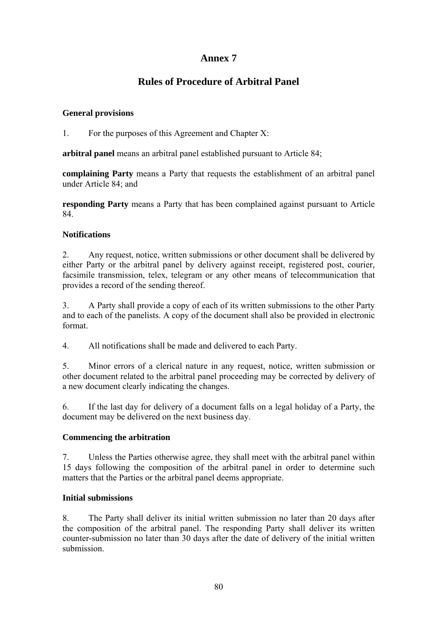# **Rules of Procedure of Arbitral Panel**

# **General provisions**

1. For the purposes of this Agreement and Chapter X:

**arbitral panel** means an arbitral panel established pursuant to Article 84;

**complaining Party** means a Party that requests the establishment of an arbitral panel under Article 84<sup>-</sup> and

**responding Party** means a Party that has been complained against pursuant to Article 84.

# **Notifications**

2. Any request, notice, written submissions or other document shall be delivered by either Party or the arbitral panel by delivery against receipt, registered post, courier, facsimile transmission, telex, telegram or any other means of telecommunication that provides a record of the sending thereof.

3. A Party shall provide a copy of each of its written submissions to the other Party and to each of the panelists. A copy of the document shall also be provided in electronic format.

4. All notifications shall be made and delivered to each Party.

5. Minor errors of a clerical nature in any request, notice, written submission or other document related to the arbitral panel proceeding may be corrected by delivery of a new document clearly indicating the changes.

6. If the last day for delivery of a document falls on a legal holiday of a Party, the document may be delivered on the next business day.

### **Commencing the arbitration**

7. Unless the Parties otherwise agree, they shall meet with the arbitral panel within 15 days following the composition of the arbitral panel in order to determine such matters that the Parties or the arbitral panel deems appropriate.

### **Initial submissions**

8. The Party shall deliver its initial written submission no later than 20 days after the composition of the arbitral panel. The responding Party shall deliver its written counter-submission no later than 30 days after the date of delivery of the initial written submission.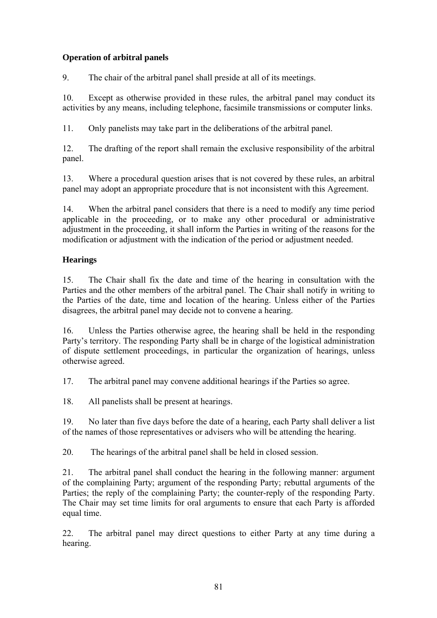# **Operation of arbitral panels**

9. The chair of the arbitral panel shall preside at all of its meetings.

10. Except as otherwise provided in these rules, the arbitral panel may conduct its activities by any means, including telephone, facsimile transmissions or computer links.

11. Only panelists may take part in the deliberations of the arbitral panel.

12. The drafting of the report shall remain the exclusive responsibility of the arbitral panel.

13. Where a procedural question arises that is not covered by these rules, an arbitral panel may adopt an appropriate procedure that is not inconsistent with this Agreement.

14. When the arbitral panel considers that there is a need to modify any time period applicable in the proceeding, or to make any other procedural or administrative adjustment in the proceeding, it shall inform the Parties in writing of the reasons for the modification or adjustment with the indication of the period or adjustment needed.

# **Hearings**

15. The Chair shall fix the date and time of the hearing in consultation with the Parties and the other members of the arbitral panel. The Chair shall notify in writing to the Parties of the date, time and location of the hearing. Unless either of the Parties disagrees, the arbitral panel may decide not to convene a hearing.

16. Unless the Parties otherwise agree, the hearing shall be held in the responding Party's territory. The responding Party shall be in charge of the logistical administration of dispute settlement proceedings, in particular the organization of hearings, unless otherwise agreed.

17. The arbitral panel may convene additional hearings if the Parties so agree.

18. All panelists shall be present at hearings.

19. No later than five days before the date of a hearing, each Party shall deliver a list of the names of those representatives or advisers who will be attending the hearing.

20. The hearings of the arbitral panel shall be held in closed session.

21. The arbitral panel shall conduct the hearing in the following manner: argument of the complaining Party; argument of the responding Party; rebuttal arguments of the Parties; the reply of the complaining Party; the counter-reply of the responding Party. The Chair may set time limits for oral arguments to ensure that each Party is afforded equal time.

22. The arbitral panel may direct questions to either Party at any time during a hearing.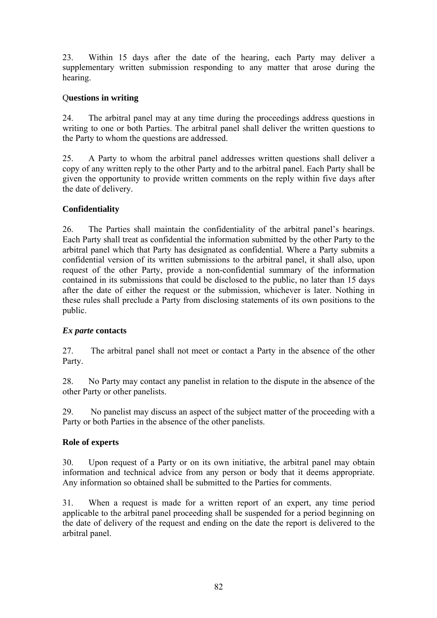23. Within 15 days after the date of the hearing, each Party may deliver a supplementary written submission responding to any matter that arose during the hearing.

## Q**uestions in writing**

24. The arbitral panel may at any time during the proceedings address questions in writing to one or both Parties. The arbitral panel shall deliver the written questions to the Party to whom the questions are addressed.

25. A Party to whom the arbitral panel addresses written questions shall deliver a copy of any written reply to the other Party and to the arbitral panel. Each Party shall be given the opportunity to provide written comments on the reply within five days after the date of delivery.

# **Confidentiality**

26. The Parties shall maintain the confidentiality of the arbitral panel's hearings. Each Party shall treat as confidential the information submitted by the other Party to the arbitral panel which that Party has designated as confidential. Where a Party submits a confidential version of its written submissions to the arbitral panel, it shall also, upon request of the other Party, provide a non-confidential summary of the information contained in its submissions that could be disclosed to the public, no later than 15 days after the date of either the request or the submission, whichever is later. Nothing in these rules shall preclude a Party from disclosing statements of its own positions to the public.

### *Ex parte* **contacts**

27. The arbitral panel shall not meet or contact a Party in the absence of the other Party.

28. No Party may contact any panelist in relation to the dispute in the absence of the other Party or other panelists.

29. No panelist may discuss an aspect of the subject matter of the proceeding with a Party or both Parties in the absence of the other panelists.

### **Role of experts**

30. Upon request of a Party or on its own initiative, the arbitral panel may obtain information and technical advice from any person or body that it deems appropriate. Any information so obtained shall be submitted to the Parties for comments.

31. When a request is made for a written report of an expert, any time period applicable to the arbitral panel proceeding shall be suspended for a period beginning on the date of delivery of the request and ending on the date the report is delivered to the arbitral panel.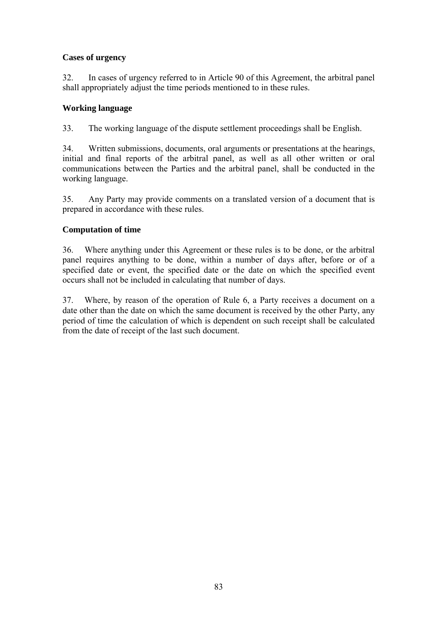# **Cases of urgency**

32. In cases of urgency referred to in Article 90 of this Agreement, the arbitral panel shall appropriately adjust the time periods mentioned to in these rules.

## **Working language**

33. The working language of the dispute settlement proceedings shall be English.

34. Written submissions, documents, oral arguments or presentations at the hearings, initial and final reports of the arbitral panel, as well as all other written or oral communications between the Parties and the arbitral panel, shall be conducted in the working language.

35. Any Party may provide comments on a translated version of a document that is prepared in accordance with these rules.

# **Computation of time**

36. Where anything under this Agreement or these rules is to be done, or the arbitral panel requires anything to be done, within a number of days after, before or of a specified date or event, the specified date or the date on which the specified event occurs shall not be included in calculating that number of days.

37. Where, by reason of the operation of Rule 6, a Party receives a document on a date other than the date on which the same document is received by the other Party, any period of time the calculation of which is dependent on such receipt shall be calculated from the date of receipt of the last such document.